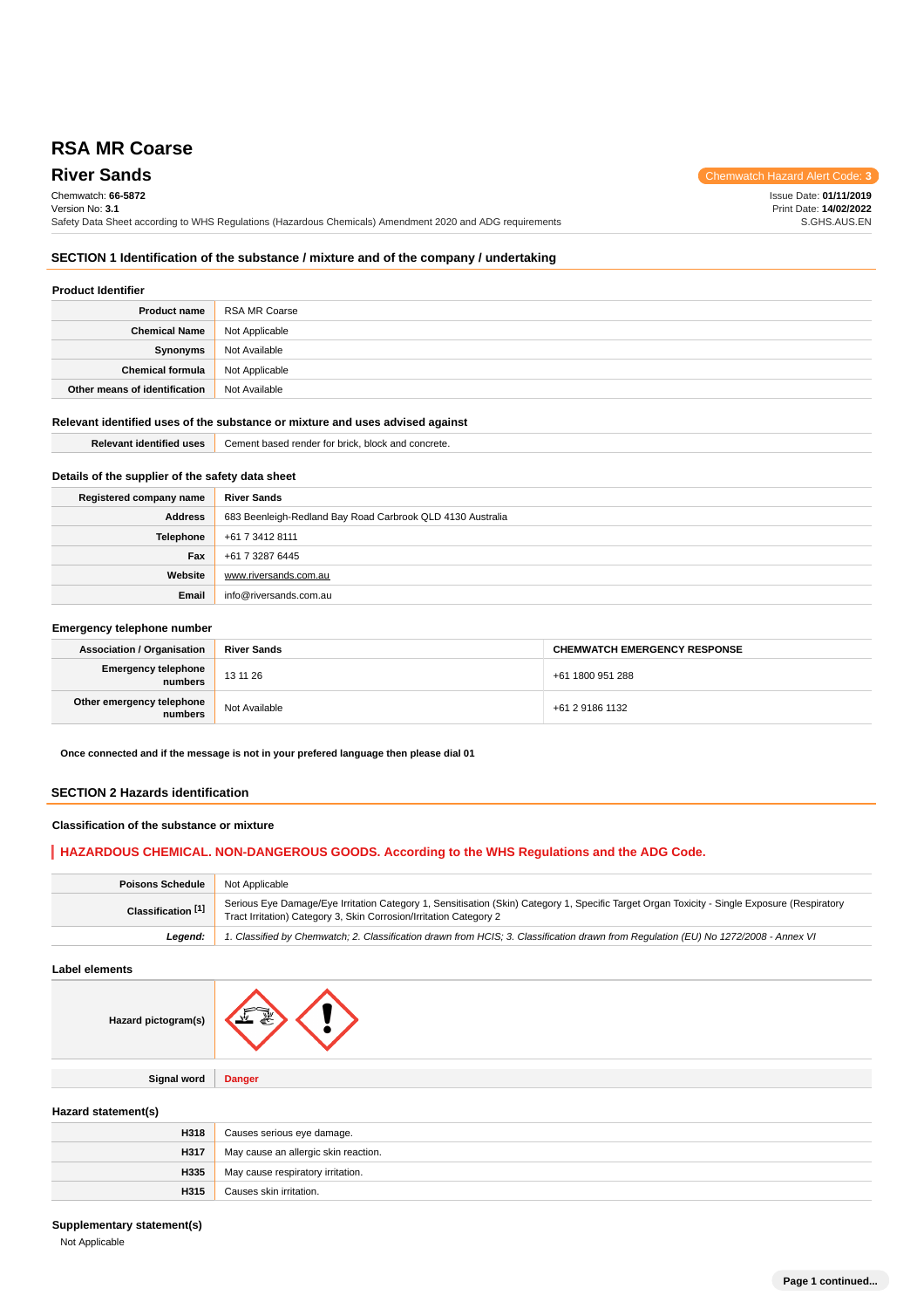# **RSA MR Coarse**

**River Sands** Chemwatch Hazard Alert Code: 3 Chemwatch: **66-5872** Version No: **3.1** Safety Data Sheet according to WHS Regulations (Hazardous Chemicals) Amendment 2020 and ADG requirements Issue Date: **01/11/2019** Print Date: **14/02/2022** S.GHS.AUS.EN

# **SECTION 1 Identification of the substance / mixture and of the company / undertaking**

## **Product Identifier**

| <b>Product name</b>           | RSA MR Coarse  |
|-------------------------------|----------------|
| <b>Chemical Name</b>          | Not Applicable |
| Synonyms                      | Not Available  |
| <b>Chemical formula</b>       | Not Applicable |
| Other means of identification | Not Available  |

## **Relevant identified uses of the substance or mixture and uses advised against**

| <b>Relevant identified uses</b>                  | Cement based render for brick, block and concrete.         |  |
|--------------------------------------------------|------------------------------------------------------------|--|
| Details of the supplier of the safety data sheet |                                                            |  |
| Registered company name<br><b>River Sands</b>    |                                                            |  |
| <b>Address</b>                                   | 683 Beenleigh-Redland Bay Road Carbrook QLD 4130 Australia |  |
| Telephone                                        | +61 7 3412 8111                                            |  |
| Fax                                              | +61 7 3287 6445                                            |  |
| Website                                          | www.riversands.com.au                                      |  |
| Email                                            | info@riversands.com.au                                     |  |

#### **Emergency telephone number**

| <b>Association / Organisation</b>      | <b>River Sands</b> | <b>CHEMWATCH EMERGENCY RESPONSE</b> |
|----------------------------------------|--------------------|-------------------------------------|
| Emergency telephone<br>numbers         | 13 11 26           | +61 1800 951 288                    |
| Other emergency telephone<br>  numbers | Not Available      | +61 2 9186 1132                     |

**Once connected and if the message is not in your prefered language then please dial 01**

#### **SECTION 2 Hazards identification**

#### **Classification of the substance or mixture**

# **HAZARDOUS CHEMICAL. NON-DANGEROUS GOODS. According to the WHS Regulations and the ADG Code.**

| <b>Poisons Schedule</b> | Not Applicable                                                                                                                                                                                                     |
|-------------------------|--------------------------------------------------------------------------------------------------------------------------------------------------------------------------------------------------------------------|
| Classification [1]      | Serious Eye Damage/Eye Irritation Category 1, Sensitisation (Skin) Category 1, Specific Target Organ Toxicity - Single Exposure (Respiratory<br>Tract Irritation) Category 3, Skin Corrosion/Irritation Category 2 |
| Leaend:                 | 1. Classified by Chemwatch; 2. Classification drawn from HCIS; 3. Classification drawn from Requlation (EU) No 1272/2008 - Annex VI                                                                                |

**Label elements**

| Hazard pictogram(s) |               |
|---------------------|---------------|
|                     |               |
| <b>Signal word</b>  | <b>Danger</b> |

#### **Hazard statement(s)**

| H318 | Causes serious eye damage.           |
|------|--------------------------------------|
| H317 | May cause an allergic skin reaction. |
| H335 | May cause respiratory irritation.    |
| H315 | Causes skin irritation.              |

#### **Supplementary statement(s)**

Not Applicable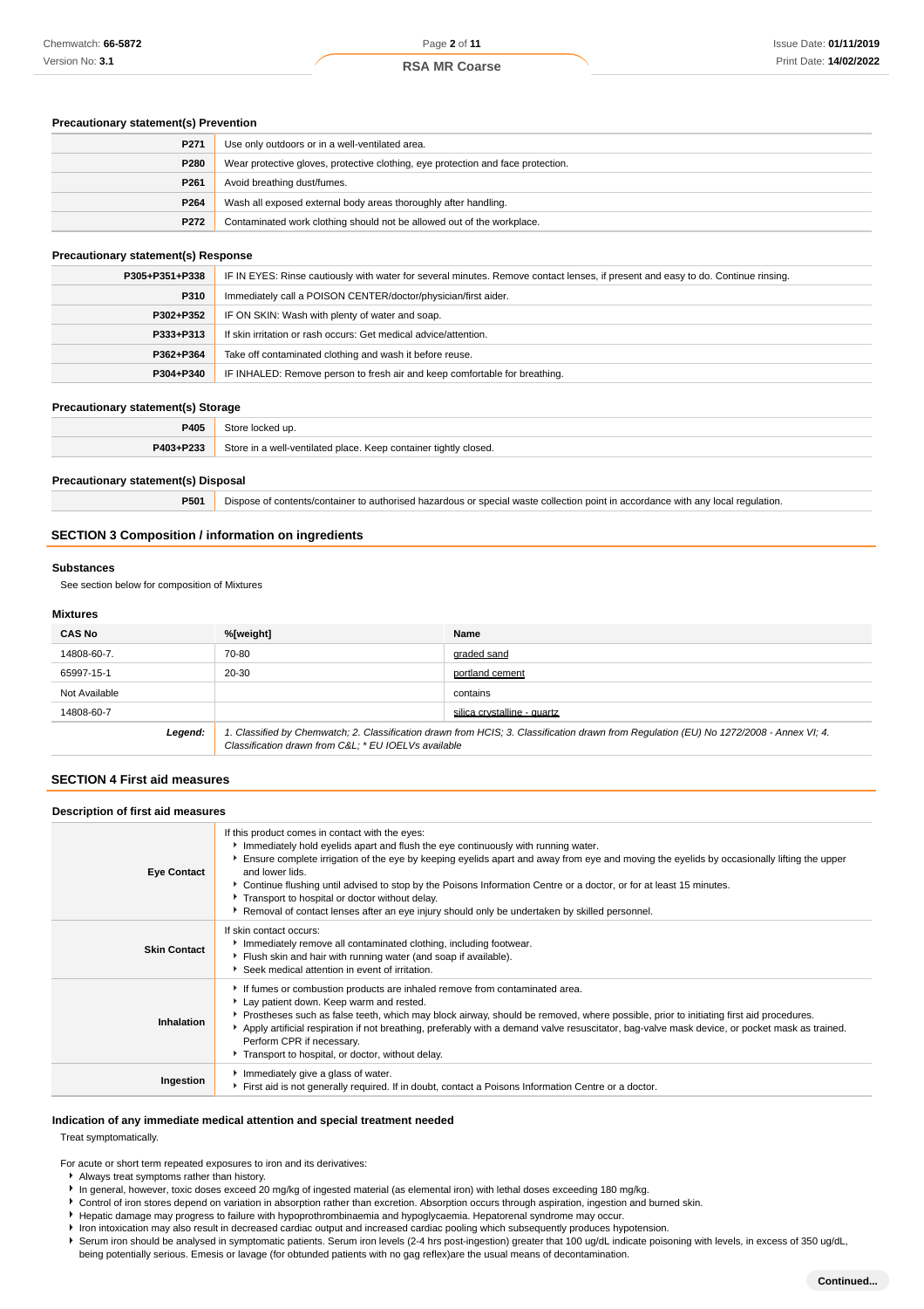#### **Precautionary statement(s) Prevention**

| P271 | Use only outdoors or in a well-ventilated area.                                  |
|------|----------------------------------------------------------------------------------|
| P280 | Wear protective gloves, protective clothing, eye protection and face protection. |
| P261 | Avoid breathing dust/fumes.                                                      |
| P264 | Wash all exposed external body areas thoroughly after handling.                  |
| P272 | Contaminated work clothing should not be allowed out of the workplace.           |

#### **Precautionary statement(s) Response**

| P305+P351+P338 | IF IN EYES: Rinse cautiously with water for several minutes. Remove contact lenses, if present and easy to do. Continue rinsing. |  |
|----------------|----------------------------------------------------------------------------------------------------------------------------------|--|
| P310           | Immediately call a POISON CENTER/doctor/physician/first aider.                                                                   |  |
| P302+P352      | IF ON SKIN: Wash with plenty of water and soap.                                                                                  |  |
| P333+P313      | If skin irritation or rash occurs: Get medical advice/attention.                                                                 |  |
| P362+P364      | Take off contaminated clothing and wash it before reuse.                                                                         |  |
| P304+P340      | IF INHALED: Remove person to fresh air and keep comfortable for breathing.                                                       |  |

#### **Precautionary statement(s) Storage**

| P405      | l un                                                                         |
|-----------|------------------------------------------------------------------------------|
| P403+P233 | Store in a well-<br>II-ventilated place. Keep container tightly closed.<br>. |
|           |                                                                              |

#### **Precautionary statement(s) Disposal**

| P501 | Dispose of contents/container to authorised hazardous or special waste collection point in accordance with any local regulation. |  |
|------|----------------------------------------------------------------------------------------------------------------------------------|--|
|      |                                                                                                                                  |  |

# **SECTION 3 Composition / information on ingredients**

#### **Substances**

See section below for composition of Mixtures

#### **Mixtures**

| <b>CAS No</b> | %[weight]                                           | Name                                                                                                                                    |
|---------------|-----------------------------------------------------|-----------------------------------------------------------------------------------------------------------------------------------------|
| 14808-60-7.   | 70-80                                               | graded sand                                                                                                                             |
| 65997-15-1    | 20-30                                               | portland cement                                                                                                                         |
| Not Available |                                                     | contains                                                                                                                                |
| 14808-60-7    |                                                     | silica crystalline - quartz                                                                                                             |
| Legend:       | Classification drawn from C&L * EU IOELVs available | 1. Classified by Chemwatch; 2. Classification drawn from HCIS; 3. Classification drawn from Regulation (EU) No 1272/2008 - Annex VI; 4. |

# **SECTION 4 First aid measures**

| Description of first aid measures |                                                                                                                                                                                                                                                                                                                                                                                                                                                                                                                                                                                   |  |
|-----------------------------------|-----------------------------------------------------------------------------------------------------------------------------------------------------------------------------------------------------------------------------------------------------------------------------------------------------------------------------------------------------------------------------------------------------------------------------------------------------------------------------------------------------------------------------------------------------------------------------------|--|
| <b>Eye Contact</b>                | If this product comes in contact with the eyes:<br>Immediately hold eyelids apart and flush the eye continuously with running water.<br>Ensure complete irrigation of the eye by keeping eyelids apart and away from eye and moving the eyelids by occasionally lifting the upper<br>and lower lids.<br>▶ Continue flushing until advised to stop by the Poisons Information Centre or a doctor, or for at least 15 minutes.<br>Transport to hospital or doctor without delay.<br>▶ Removal of contact lenses after an eye injury should only be undertaken by skilled personnel. |  |
| <b>Skin Contact</b>               | If skin contact occurs:<br>Immediately remove all contaminated clothing, including footwear.<br>Flush skin and hair with running water (and soap if available).<br>Seek medical attention in event of irritation.                                                                                                                                                                                                                                                                                                                                                                 |  |
| Inhalation                        | If fumes or combustion products are inhaled remove from contaminated area.<br>Lay patient down. Keep warm and rested.<br>▶ Prostheses such as false teeth, which may block airway, should be removed, where possible, prior to initiating first aid procedures.<br>Apply artificial respiration if not breathing, preferably with a demand valve resuscitator, bag-valve mask device, or pocket mask as trained.<br>Perform CPR if necessary.<br>Transport to hospital, or doctor, without delay.                                                                                 |  |
| Ingestion                         | Immediately give a glass of water.<br>First aid is not generally required. If in doubt, contact a Poisons Information Centre or a doctor.                                                                                                                                                                                                                                                                                                                                                                                                                                         |  |

#### **Indication of any immediate medical attention and special treatment needed**

Treat symptomatically.

For acute or short term repeated exposures to iron and its derivatives:

- Always treat symptoms rather than history.
- In general, however, toxic doses exceed 20 mg/kg of ingested material (as elemental iron) with lethal doses exceeding 180 mg/kg.
- Control of iron stores depend on variation in absorption rather than excretion. Absorption occurs through aspiration, ingestion and burned skin.
- Hepatic damage may progress to failure with hypoprothrombinaemia and hypoglycaemia. Hepatorenal syndrome may occur.
- Iron intoxication may also result in decreased cardiac output and increased cardiac pooling which subsequently produces hypotension.
- Serum iron should be analysed in symptomatic patients. Serum iron levels (2-4 hrs post-ingestion) greater that 100 ug/dL indicate poisoning with levels, in excess of 350 ug/dL,
- being potentially serious. Emesis or lavage (for obtunded patients with no gag reflex)are the usual means of decontamination.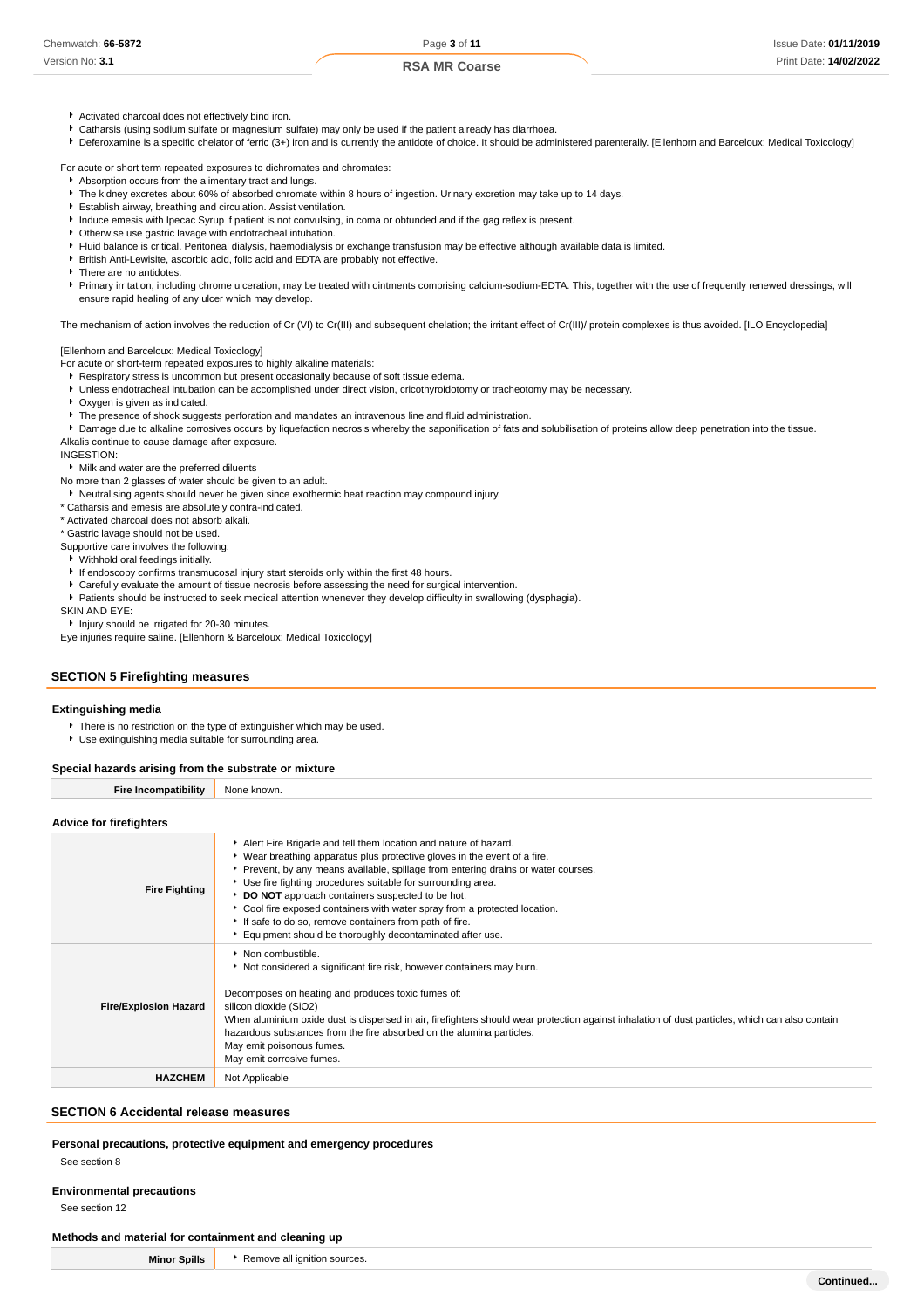- **RSA MR Coarse**
- Activated charcoal does not effectively bind iron.
- Catharsis (using sodium sulfate or magnesium sulfate) may only be used if the patient already has diarrhoea.
- Deferoxamine is a specific chelator of ferric (3+) iron and is currently the antidote of choice. It should be administered parenterally. [Ellenhorn and Barceloux: Medical Toxicology]

For acute or short term repeated exposures to dichromates and chromates:

- Absorption occurs from the alimentary tract and lungs.
- The kidney excretes about 60% of absorbed chromate within 8 hours of ingestion. Urinary excretion may take up to 14 days.
- Establish airway, breathing and circulation. Assist ventilation.
- Induce emesis with Ipecac Syrup if patient is not convulsing, in coma or obtunded and if the gag reflex is present.
- Otherwise use gastric lavage with endotracheal intubation.
- Fluid balance is critical. Peritoneal dialysis, haemodialysis or exchange transfusion may be effective although available data is limited.
- British Anti-Lewisite, ascorbic acid, folic acid and EDTA are probably not effective.
- There are no antidotes.
- Primary irritation, including chrome ulceration, may be treated with ointments comprising calcium-sodium-EDTA. This, together with the use of frequently renewed dressings, will ensure rapid healing of any ulcer which may develop.

The mechanism of action involves the reduction of Cr (VI) to Cr(III) and subsequent chelation; the irritant effect of Cr(III)/ protein complexes is thus avoided. [ILO Encyclopedia]

[Ellenhorn and Barceloux: Medical Toxicology]

- For acute or short-term repeated exposures to highly alkaline materials:
- Respiratory stress is uncommon but present occasionally because of soft tissue edema.
- Unless endotracheal intubation can be accomplished under direct vision, cricothyroidotomy or tracheotomy may be necessary.
- Oxygen is given as indicated.
- **F** The presence of shock suggests perforation and mandates an intravenous line and fluid administration.

**P** Damage due to alkaline corrosives occurs by liquefaction necrosis whereby the saponification of fats and solubilisation of proteins allow deep penetration into the tissue. Alkalis continue to cause damage after exposure.

INGESTION:

Milk and water are the preferred diluents

No more than 2 glasses of water should be given to an adult.

- Neutralising agents should never be given since exothermic heat reaction may compound injury.
- \* Catharsis and emesis are absolutely contra-indicated.

\* Activated charcoal does not absorb alkali.

- \* Gastric lavage should not be used.
- Supportive care involves the following: Withhold oral feedings initially.
- 
- If endoscopy confirms transmucosal injury start steroids only within the first 48 hours.
- Carefully evaluate the amount of tissue necrosis before assessing the need for surgical intervention.
- Patients should be instructed to seek medical attention whenever they develop difficulty in swallowing (dysphagia).

SKIN AND EYE:

- **Injury should be irrigated for 20-30 minutes.**
- Eye injuries require saline. [Ellenhorn & Barceloux: Medical Toxicology]

#### **SECTION 5 Firefighting measures**

#### **Extinguishing media**

There is no restriction on the type of extinguisher which may be used.

Use extinguishing media suitable for surrounding area.

#### **Special hazards arising from the substrate or mixture**

**Fire Incompatibility** None known.

#### **Advice for firefighters**

| <b>Fire Fighting</b>         | Alert Fire Brigade and tell them location and nature of hazard.<br>► Wear breathing apparatus plus protective gloves in the event of a fire.<br>Prevent, by any means available, spillage from entering drains or water courses.<br>Use fire fighting procedures suitable for surrounding area.<br>DO NOT approach containers suspected to be hot.<br>Cool fire exposed containers with water spray from a protected location.<br>If safe to do so, remove containers from path of fire.<br>Equipment should be thoroughly decontaminated after use. |
|------------------------------|------------------------------------------------------------------------------------------------------------------------------------------------------------------------------------------------------------------------------------------------------------------------------------------------------------------------------------------------------------------------------------------------------------------------------------------------------------------------------------------------------------------------------------------------------|
| <b>Fire/Explosion Hazard</b> | Non combustible.<br>Not considered a significant fire risk, however containers may burn.<br>Decomposes on heating and produces toxic fumes of:<br>silicon dioxide (SiO2)<br>When aluminium oxide dust is dispersed in air, firefighters should wear protection against inhalation of dust particles, which can also contain<br>hazardous substances from the fire absorbed on the alumina particles.<br>May emit poisonous fumes.<br>May emit corrosive fumes.                                                                                       |
| <b>HAZCHEM</b>               | Not Applicable                                                                                                                                                                                                                                                                                                                                                                                                                                                                                                                                       |

#### **SECTION 6 Accidental release measures**

**Personal precautions, protective equipment and emergency procedures**

#### See section 8

## **Environmental precautions**

See section 12

#### **Methods and material for containment and cleaning up**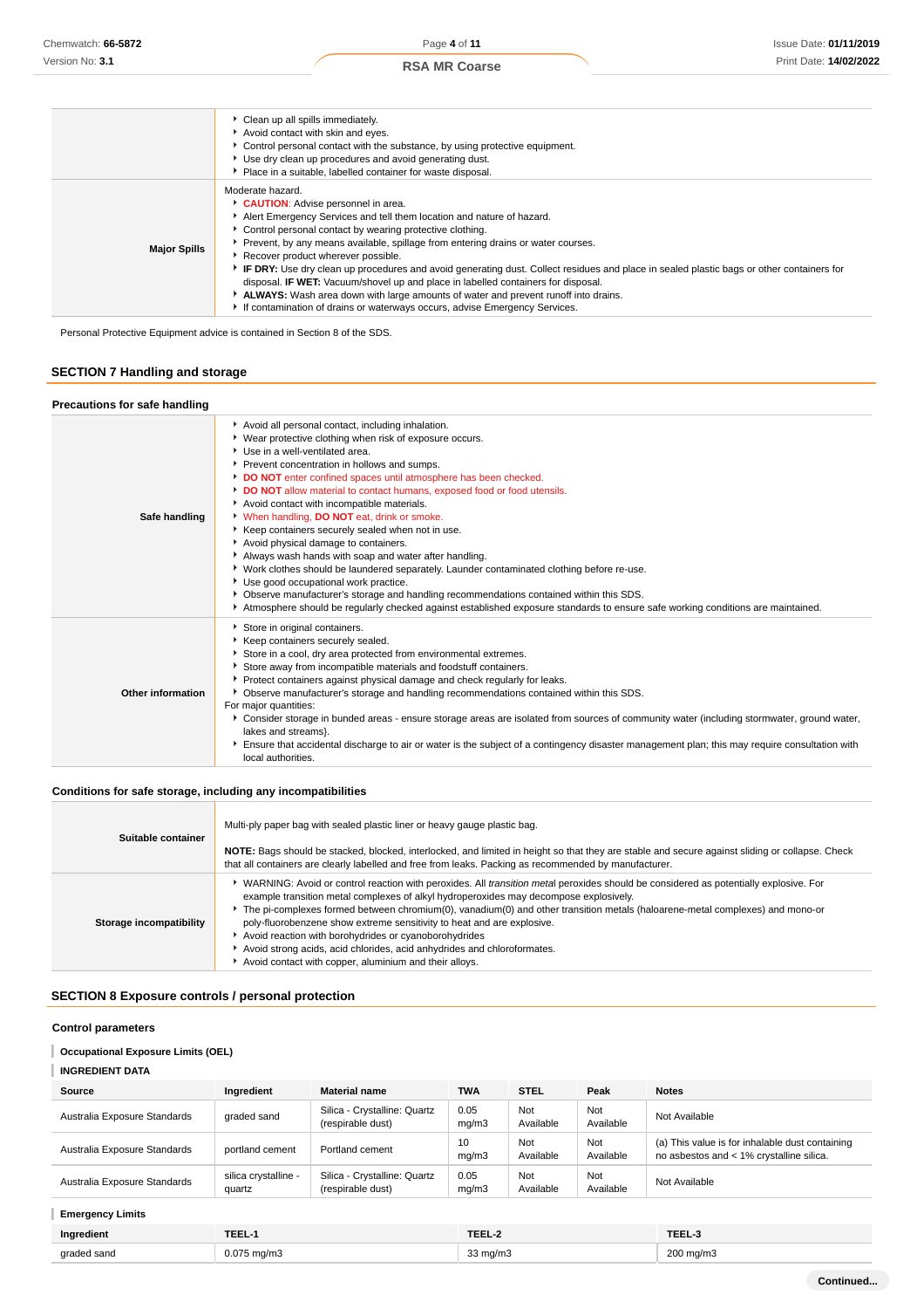|                     | Clean up all spills immediately.<br>Avoid contact with skin and eyes.<br>► Control personal contact with the substance, by using protective equipment.<br>Use dry clean up procedures and avoid generating dust.<br>Place in a suitable, labelled container for waste disposal.                                                                                                                                                                                                                                                                                                                                                                                                                                                |
|---------------------|--------------------------------------------------------------------------------------------------------------------------------------------------------------------------------------------------------------------------------------------------------------------------------------------------------------------------------------------------------------------------------------------------------------------------------------------------------------------------------------------------------------------------------------------------------------------------------------------------------------------------------------------------------------------------------------------------------------------------------|
| <b>Major Spills</b> | Moderate hazard.<br>CAUTION: Advise personnel in area.<br>Alert Emergency Services and tell them location and nature of hazard.<br>• Control personal contact by wearing protective clothing.<br>Prevent, by any means available, spillage from entering drains or water courses.<br>Recover product wherever possible.<br>► IF DRY: Use dry clean up procedures and avoid generating dust. Collect residues and place in sealed plastic bags or other containers for<br>disposal. IF WET: Vacuum/shovel up and place in labelled containers for disposal.<br>ALWAYS: Wash area down with large amounts of water and prevent runoff into drains.<br>If contamination of drains or waterways occurs, advise Emergency Services. |

Personal Protective Equipment advice is contained in Section 8 of the SDS.

# **SECTION 7 Handling and storage**

| Precautions for safe handling |                                                                                                                                                                                                                                                                                                                                                                                                                                                                                                                                                                                                                                                                                                                                                                                                                                                                                                                                                                         |
|-------------------------------|-------------------------------------------------------------------------------------------------------------------------------------------------------------------------------------------------------------------------------------------------------------------------------------------------------------------------------------------------------------------------------------------------------------------------------------------------------------------------------------------------------------------------------------------------------------------------------------------------------------------------------------------------------------------------------------------------------------------------------------------------------------------------------------------------------------------------------------------------------------------------------------------------------------------------------------------------------------------------|
| Safe handling                 | Avoid all personal contact, including inhalation.<br>▶ Wear protective clothing when risk of exposure occurs.<br>▶ Use in a well-ventilated area.<br>Prevent concentration in hollows and sumps.<br>DO NOT enter confined spaces until atmosphere has been checked.<br>DO NOT allow material to contact humans, exposed food or food utensils.<br>Avoid contact with incompatible materials.<br>When handling, DO NOT eat, drink or smoke.<br>▶ Keep containers securely sealed when not in use.<br>Avoid physical damage to containers.<br>Always wash hands with soap and water after handling.<br>▶ Work clothes should be laundered separately. Launder contaminated clothing before re-use.<br>Use good occupational work practice.<br>▶ Observe manufacturer's storage and handling recommendations contained within this SDS.<br>Atmosphere should be regularly checked against established exposure standards to ensure safe working conditions are maintained. |
| Other information             | Store in original containers.<br>▶ Keep containers securely sealed.<br>Store in a cool, dry area protected from environmental extremes.<br>Store away from incompatible materials and foodstuff containers.<br>Protect containers against physical damage and check regularly for leaks.<br>▶ Observe manufacturer's storage and handling recommendations contained within this SDS.<br>For major quantities:<br>▶ Consider storage in bunded areas - ensure storage areas are isolated from sources of community water (including stormwater, ground water,<br>lakes and streams}.<br>Ensure that accidental discharge to air or water is the subject of a contingency disaster management plan; this may require consultation with<br>local authorities.                                                                                                                                                                                                              |

# **Conditions for safe storage, including any incompatibilities**

| Suitable container      | Multi-ply paper bag with sealed plastic liner or heavy gauge plastic bag.<br>NOTE: Bags should be stacked, blocked, interlocked, and limited in height so that they are stable and secure against sliding or collapse. Check<br>that all containers are clearly labelled and free from leaks. Packing as recommended by manufacturer.                                                                                                                                                                                                                                                                                                   |
|-------------------------|-----------------------------------------------------------------------------------------------------------------------------------------------------------------------------------------------------------------------------------------------------------------------------------------------------------------------------------------------------------------------------------------------------------------------------------------------------------------------------------------------------------------------------------------------------------------------------------------------------------------------------------------|
| Storage incompatibility | ▶ WARNING: Avoid or control reaction with peroxides. All transition metal peroxides should be considered as potentially explosive. For<br>example transition metal complexes of alkyl hydroperoxides may decompose explosively.<br>The pi-complexes formed between chromium(0), vanadium(0) and other transition metals (haloarene-metal complexes) and mono-or<br>poly-fluorobenzene show extreme sensitivity to heat and are explosive.<br>Avoid reaction with borohydrides or cyanoborohydrides<br>Avoid strong acids, acid chlorides, acid anhydrides and chloroformates.<br>Avoid contact with copper, aluminium and their alloys. |

# **SECTION 8 Exposure controls / personal protection**

# **Control parameters**

### **Occupational Exposure Limits (OEL)**

# **INGREDIENT DATA**

| Source                       | Ingredient                     | <b>Material name</b>                              | <b>TWA</b>    | <b>STEL</b>      | Peak             | <b>Notes</b>                                                                                |
|------------------------------|--------------------------------|---------------------------------------------------|---------------|------------------|------------------|---------------------------------------------------------------------------------------------|
| Australia Exposure Standards | graded sand                    | Silica - Crystalline: Quartz<br>(respirable dust) | 0.05<br>mq/m3 | Not<br>Available | Not<br>Available | Not Available                                                                               |
| Australia Exposure Standards | portland cement                | Portland cement                                   | 10<br>mq/m3   | Not<br>Available | Not<br>Available | (a) This value is for inhalable dust containing<br>no asbestos and < 1% crystalline silica. |
| Australia Exposure Standards | silica crystalline -<br>quartz | Silica - Crystalline: Quartz<br>(respirable dust) | 0.05<br>mq/m3 | Not<br>Available | Not<br>Available | Not Available                                                                               |

# **Emergency Limits**

| Ingredient  | TEEL-            | TEEL-2            | TEEL-3    |
|-------------|------------------|-------------------|-----------|
| graded sand | $0.075$ mg/m $3$ | $33 \text{ mg/m}$ | 200 mg/m3 |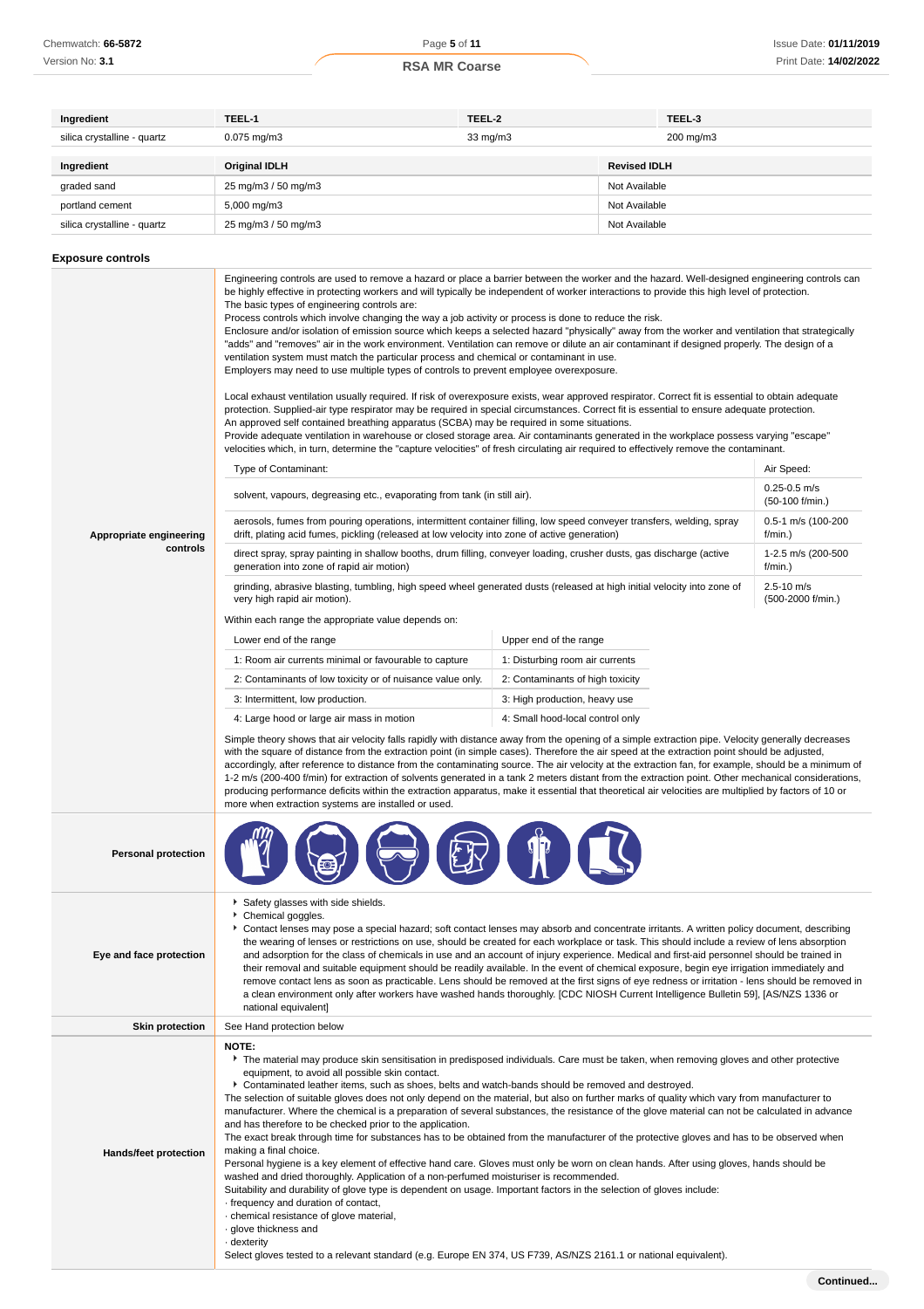**Appropr** 

|  |  | <b>RSA MR Coarse</b> |
|--|--|----------------------|
|--|--|----------------------|

| Ingredient                  | TEEL-1                                                                                                                                                                                                                                                                                                                                                                                                                                                                                                                                                                                                                                                                                                                                                    | TEEL-2            | TEEL-3              |  |
|-----------------------------|-----------------------------------------------------------------------------------------------------------------------------------------------------------------------------------------------------------------------------------------------------------------------------------------------------------------------------------------------------------------------------------------------------------------------------------------------------------------------------------------------------------------------------------------------------------------------------------------------------------------------------------------------------------------------------------------------------------------------------------------------------------|-------------------|---------------------|--|
| silica crystalline - quartz | $0.075$ mg/m $3$                                                                                                                                                                                                                                                                                                                                                                                                                                                                                                                                                                                                                                                                                                                                          | $33 \text{ mg/m}$ | 200 mg/m3           |  |
| Ingredient                  | <b>Original IDLH</b>                                                                                                                                                                                                                                                                                                                                                                                                                                                                                                                                                                                                                                                                                                                                      |                   | <b>Revised IDLH</b> |  |
| graded sand                 | 25 mg/m3 / 50 mg/m3                                                                                                                                                                                                                                                                                                                                                                                                                                                                                                                                                                                                                                                                                                                                       | Not Available     |                     |  |
| portland cement             | 5,000 mg/m3                                                                                                                                                                                                                                                                                                                                                                                                                                                                                                                                                                                                                                                                                                                                               |                   | Not Available       |  |
| silica crystalline - quartz | 25 mg/m3 / 50 mg/m3                                                                                                                                                                                                                                                                                                                                                                                                                                                                                                                                                                                                                                                                                                                                       |                   |                     |  |
|                             | Engineering controls are used to remove a hazard or place a barrier between the worker and the hazard. Well-designed engineering controls can<br>be highly effective in protecting workers and will typically be independent of worker interactions to provide this high level of protection.<br>The basic types of engineering controls are:<br>Process controls which involve changing the way a job activity or process is done to reduce the risk.<br>Enclosure and/or isolation of emission source which keeps a selected hazard "physically" away from the worker and ventilation that strategically<br>"adds" and "removes" air in the work environment. Ventilation can remove or dilute an air contaminant if designed properly. The design of a |                   |                     |  |
|                             |                                                                                                                                                                                                                                                                                                                                                                                                                                                                                                                                                                                                                                                                                                                                                           |                   |                     |  |

protection. Supplied-air type respirator may be required in special circumstances. Correct fit is essential to ensure adequate protection. An approved self contained breathing apparatus (SCBA) may be required in some situations.

Provide adequate ventilation in warehouse or closed storage area. Air contaminants generated in the workplace possess varying "escape" velocities which, in turn, determine the "capture velocities" of fresh circulating air required to effectively remove the contaminant.

| iate engineering<br>controls | Type of Contaminant:                                                                                                                                                                                                   | Air Speed:                          |  |
|------------------------------|------------------------------------------------------------------------------------------------------------------------------------------------------------------------------------------------------------------------|-------------------------------------|--|
|                              | solvent, vapours, degreasing etc., evaporating from tank (in still air).                                                                                                                                               | $0.25 - 0.5$ m/s<br>(50-100 f/min.) |  |
|                              | aerosols, fumes from pouring operations, intermittent container filling, low speed conveyer transfers, welding, spray<br>drift, plating acid fumes, pickling (released at low velocity into zone of active generation) | 0.5-1 m/s (100-200<br>$f/min.$ )    |  |
|                              | direct spray, spray painting in shallow booths, drum filling, conveyer loading, crusher dusts, gas discharge (active<br>generation into zone of rapid air motion)                                                      | 1-2.5 m/s (200-500<br>$f/min.$ )    |  |
|                              | grinding, abrasive blasting, tumbling, high speed wheel generated dusts (released at high initial velocity into zone of<br>very high rapid air motion).                                                                | $2.5 - 10$ m/s<br>(500-2000 f/min.) |  |
|                              | Within each range the appropriate value depends on:                                                                                                                                                                    |                                     |  |
|                              | Lower end of the range                                                                                                                                                                                                 | Upper end of the range              |  |
|                              | 1: Room air currents minimal or favourable to capture                                                                                                                                                                  | 1: Disturbing room air currents     |  |
|                              | 2: Contaminants of low toxicity or of nuisance value only.                                                                                                                                                             | 2: Contaminants of high toxicity    |  |
|                              | 3: Intermittent, low production.                                                                                                                                                                                       | 3: High production, heavy use       |  |
|                              | 4: Large hood or large air mass in motion                                                                                                                                                                              | 4: Small hood-local control only    |  |

Simple theory shows that air velocity falls rapidly with distance away from the opening of a simple extraction pipe. Velocity generally decreases with the square of distance from the extraction point (in simple cases). Therefore the air speed at the extraction point should be adjusted, accordingly, after reference to distance from the contaminating source. The air velocity at the extraction fan, for example, should be a minimum of 1-2 m/s (200-400 f/min) for extraction of solvents generated in a tank 2 meters distant from the extraction point. Other mechanical considerations, producing performance deficits within the extraction apparatus, make it essential that theoretical air velocities are multiplied by factors of 10 or more when extraction systems are installed or used.

| <b>Personal protection</b> |                                                                                                                                                                                                                                                                                                                                                                                                                                                                                                                                                                                                                                                                                                                                                                                                                                                                                                                                                                                                                                                                                                                                                                                                                                                                                                                                                                                                                                                         |
|----------------------------|---------------------------------------------------------------------------------------------------------------------------------------------------------------------------------------------------------------------------------------------------------------------------------------------------------------------------------------------------------------------------------------------------------------------------------------------------------------------------------------------------------------------------------------------------------------------------------------------------------------------------------------------------------------------------------------------------------------------------------------------------------------------------------------------------------------------------------------------------------------------------------------------------------------------------------------------------------------------------------------------------------------------------------------------------------------------------------------------------------------------------------------------------------------------------------------------------------------------------------------------------------------------------------------------------------------------------------------------------------------------------------------------------------------------------------------------------------|
| Eye and face protection    | Safety glasses with side shields.<br>Chemical goggles.<br>▶ Contact lenses may pose a special hazard; soft contact lenses may absorb and concentrate irritants. A written policy document, describing<br>the wearing of lenses or restrictions on use, should be created for each workplace or task. This should include a review of lens absorption<br>and adsorption for the class of chemicals in use and an account of injury experience. Medical and first-aid personnel should be trained in<br>their removal and suitable equipment should be readily available. In the event of chemical exposure, begin eye irrigation immediately and<br>remove contact lens as soon as practicable. Lens should be removed at the first signs of eye redness or irritation - lens should be removed in<br>a clean environment only after workers have washed hands thoroughly. [CDC NIOSH Current Intelligence Bulletin 59], [AS/NZS 1336 or<br>national equivalent]                                                                                                                                                                                                                                                                                                                                                                                                                                                                                         |
| <b>Skin protection</b>     | See Hand protection below                                                                                                                                                                                                                                                                                                                                                                                                                                                                                                                                                                                                                                                                                                                                                                                                                                                                                                                                                                                                                                                                                                                                                                                                                                                                                                                                                                                                                               |
| Hands/feet protection      | NOTE:<br>The material may produce skin sensitisation in predisposed individuals. Care must be taken, when removing gloves and other protective<br>equipment, to avoid all possible skin contact.<br>Contaminated leather items, such as shoes, belts and watch-bands should be removed and destroyed.<br>The selection of suitable gloves does not only depend on the material, but also on further marks of quality which vary from manufacturer to<br>manufacturer. Where the chemical is a preparation of several substances, the resistance of the glove material can not be calculated in advance<br>and has therefore to be checked prior to the application.<br>The exact break through time for substances has to be obtained from the manufacturer of the protective gloves and has to be observed when<br>making a final choice.<br>Personal hygiene is a key element of effective hand care. Gloves must only be worn on clean hands. After using gloves, hands should be<br>washed and dried thoroughly. Application of a non-perfumed moisturiser is recommended.<br>Suitability and durability of glove type is dependent on usage. Important factors in the selection of gloves include:<br>· frequency and duration of contact,<br>· chemical resistance of glove material,<br>· glove thickness and<br>· dexterity<br>Select gloves tested to a relevant standard (e.g. Europe EN 374, US F739, AS/NZS 2161.1 or national equivalent). |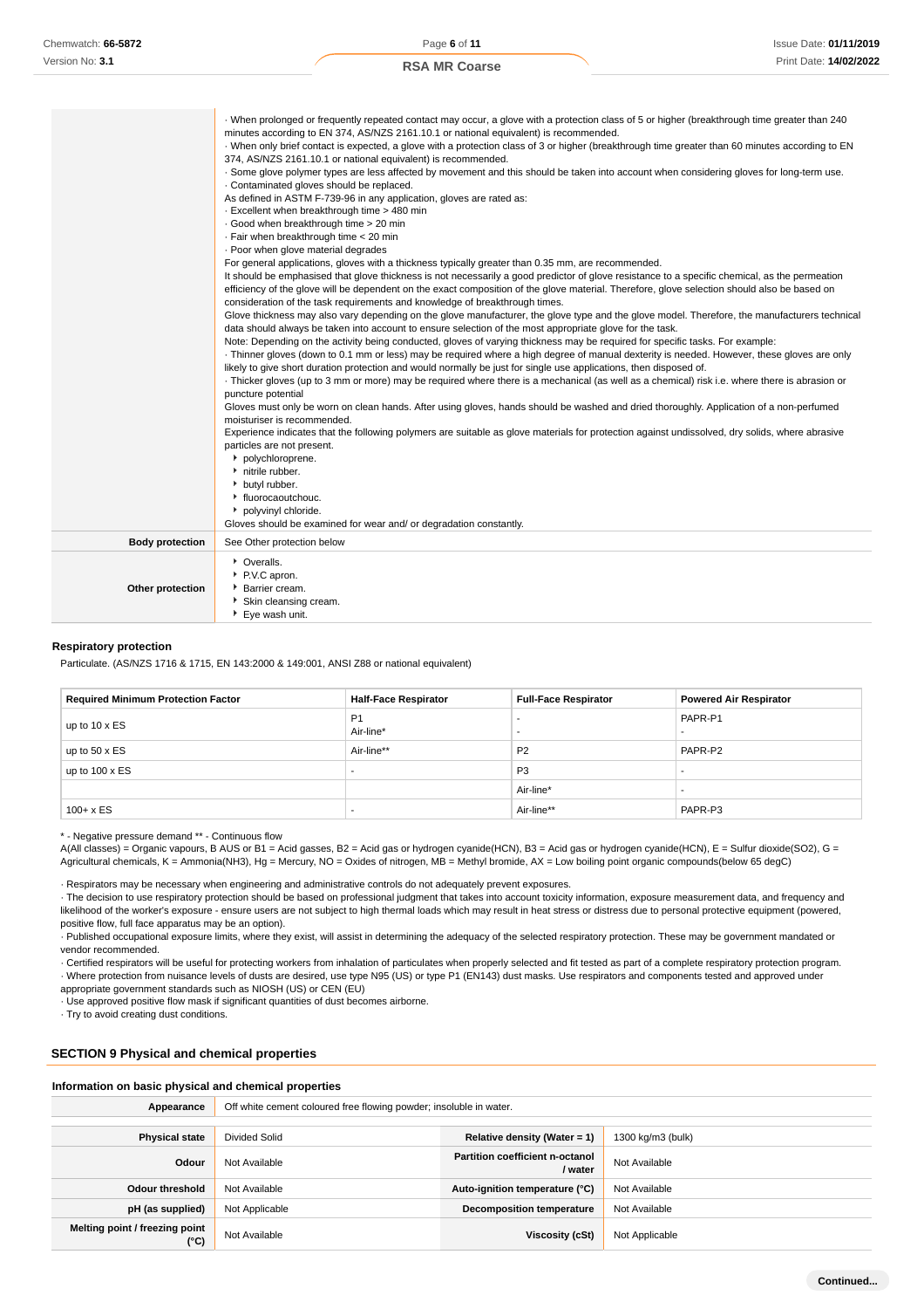|                        | When prolonged or frequently repeated contact may occur, a glove with a protection class of 5 or higher (breakthrough time greater than 240<br>minutes according to EN 374, AS/NZS 2161.10.1 or national equivalent) is recommended.<br>· When only brief contact is expected, a glove with a protection class of 3 or higher (breakthrough time greater than 60 minutes according to EN<br>374, AS/NZS 2161.10.1 or national equivalent) is recommended.<br>. Some glove polymer types are less affected by movement and this should be taken into account when considering gloves for long-term use.<br>. Contaminated gloves should be replaced.<br>As defined in ASTM F-739-96 in any application, gloves are rated as:<br>- Excellent when breakthrough time > 480 min<br>· Good when breakthrough time > 20 min<br>· Fair when breakthrough time < 20 min<br>. Poor when glove material degrades<br>For general applications, gloves with a thickness typically greater than 0.35 mm, are recommended.<br>It should be emphasised that glove thickness is not necessarily a good predictor of glove resistance to a specific chemical, as the permeation<br>efficiency of the glove will be dependent on the exact composition of the glove material. Therefore, glove selection should also be based on<br>consideration of the task requirements and knowledge of breakthrough times.<br>Glove thickness may also vary depending on the glove manufacturer, the glove type and the glove model. Therefore, the manufacturers technical<br>data should always be taken into account to ensure selection of the most appropriate glove for the task.<br>Note: Depending on the activity being conducted, gloves of varying thickness may be required for specific tasks. For example:<br>· Thinner gloves (down to 0.1 mm or less) may be required where a high degree of manual dexterity is needed. However, these gloves are only<br>likely to give short duration protection and would normally be just for single use applications, then disposed of.<br>Thicker gloves (up to 3 mm or more) may be required where there is a mechanical (as well as a chemical) risk i.e. where there is abrasion or<br>puncture potential<br>Gloves must only be worn on clean hands. After using gloves, hands should be washed and dried thoroughly. Application of a non-perfumed<br>moisturiser is recommended.<br>Experience indicates that the following polymers are suitable as glove materials for protection against undissolved, dry solids, where abrasive<br>particles are not present.<br>polychloroprene.<br>nitrile rubber.<br>butyl rubber.<br>• fluorocaoutchouc.<br>polyvinyl chloride.<br>Gloves should be examined for wear and/ or degradation constantly. |
|------------------------|-------------------------------------------------------------------------------------------------------------------------------------------------------------------------------------------------------------------------------------------------------------------------------------------------------------------------------------------------------------------------------------------------------------------------------------------------------------------------------------------------------------------------------------------------------------------------------------------------------------------------------------------------------------------------------------------------------------------------------------------------------------------------------------------------------------------------------------------------------------------------------------------------------------------------------------------------------------------------------------------------------------------------------------------------------------------------------------------------------------------------------------------------------------------------------------------------------------------------------------------------------------------------------------------------------------------------------------------------------------------------------------------------------------------------------------------------------------------------------------------------------------------------------------------------------------------------------------------------------------------------------------------------------------------------------------------------------------------------------------------------------------------------------------------------------------------------------------------------------------------------------------------------------------------------------------------------------------------------------------------------------------------------------------------------------------------------------------------------------------------------------------------------------------------------------------------------------------------------------------------------------------------------------------------------------------------------------------------------------------------------------------------------------------------------------------------------------------------------------------------------------------------------------------------------------------------------------------------------------------------------------------------------------------------------------------------------------------------------------------------------------------------------------|
| <b>Body protection</b> | See Other protection below                                                                                                                                                                                                                                                                                                                                                                                                                                                                                                                                                                                                                                                                                                                                                                                                                                                                                                                                                                                                                                                                                                                                                                                                                                                                                                                                                                                                                                                                                                                                                                                                                                                                                                                                                                                                                                                                                                                                                                                                                                                                                                                                                                                                                                                                                                                                                                                                                                                                                                                                                                                                                                                                                                                                                    |
|                        |                                                                                                                                                                                                                                                                                                                                                                                                                                                                                                                                                                                                                                                                                                                                                                                                                                                                                                                                                                                                                                                                                                                                                                                                                                                                                                                                                                                                                                                                                                                                                                                                                                                                                                                                                                                                                                                                                                                                                                                                                                                                                                                                                                                                                                                                                                                                                                                                                                                                                                                                                                                                                                                                                                                                                                               |
| Other protection       | • Overalls.<br>P.V.C apron.<br>Barrier cream.<br>Skin cleansing cream.<br>▶ Eye wash unit.                                                                                                                                                                                                                                                                                                                                                                                                                                                                                                                                                                                                                                                                                                                                                                                                                                                                                                                                                                                                                                                                                                                                                                                                                                                                                                                                                                                                                                                                                                                                                                                                                                                                                                                                                                                                                                                                                                                                                                                                                                                                                                                                                                                                                                                                                                                                                                                                                                                                                                                                                                                                                                                                                    |

#### **Respiratory protection**

Particulate. (AS/NZS 1716 & 1715, EN 143:2000 & 149:001, ANSI Z88 or national equivalent)

| <b>Required Minimum Protection Factor</b> | <b>Half-Face Respirator</b> | <b>Full-Face Respirator</b> | <b>Powered Air Respirator</b> |
|-------------------------------------------|-----------------------------|-----------------------------|-------------------------------|
| up to $10 \times ES$                      | P <sub>1</sub><br>Air-line* |                             | PAPR-P1                       |
| up to $50 \times ES$                      | Air-line**                  | P <sub>2</sub>              | PAPR-P2                       |
| up to $100 \times ES$                     |                             | P <sub>3</sub>              |                               |
|                                           |                             | Air-line*                   |                               |
| $100 + x ES$                              |                             | Air-line**                  | PAPR-P3                       |

\* - Negative pressure demand \*\* - Continuous flow

A(All classes) = Organic vapours, B AUS or B1 = Acid gasses, B2 = Acid gas or hydrogen cyanide(HCN), B3 = Acid gas or hydrogen cyanide(HCN), E = Sulfur dioxide(SO2), G = Agricultural chemicals, K = Ammonia(NH3), Hg = Mercury, NO = Oxides of nitrogen, MB = Methyl bromide, AX = Low boiling point organic compounds(below 65 degC)

· Respirators may be necessary when engineering and administrative controls do not adequately prevent exposures.

· The decision to use respiratory protection should be based on professional judgment that takes into account toxicity information, exposure measurement data, and frequency and likelihood of the worker's exposure - ensure users are not subject to high thermal loads which may result in heat stress or distress due to personal protective equipment (powered, positive flow, full face apparatus may be an option).

· Published occupational exposure limits, where they exist, will assist in determining the adequacy of the selected respiratory protection. These may be government mandated or vendor recommended.

· Certified respirators will be useful for protecting workers from inhalation of particulates when properly selected and fit tested as part of a complete respiratory protection program. · Where protection from nuisance levels of dusts are desired, use type N95 (US) or type P1 (EN143) dust masks. Use respirators and components tested and approved under appropriate government standards such as NIOSH (US) or CEN (EU)

· Use approved positive flow mask if significant quantities of dust becomes airborne.

· Try to avoid creating dust conditions.

# **SECTION 9 Physical and chemical properties**

#### **Information on basic physical and chemical properties**

| Appearance                             | Off white cement coloured free flowing powder; insoluble in water. |                                                   |                   |
|----------------------------------------|--------------------------------------------------------------------|---------------------------------------------------|-------------------|
|                                        |                                                                    |                                                   |                   |
| <b>Physical state</b>                  | <b>Divided Solid</b>                                               | Relative density (Water = $1$ )                   | 1300 kg/m3 (bulk) |
| Odour                                  | Not Available                                                      | <b>Partition coefficient n-octanol</b><br>/ water | Not Available     |
| <b>Odour threshold</b>                 | Not Available                                                      | Auto-ignition temperature (°C)                    | Not Available     |
| pH (as supplied)                       | Not Applicable                                                     | <b>Decomposition temperature</b>                  | Not Available     |
| Melting point / freezing point<br>(°C) | Not Available                                                      | Viscosity (cSt)                                   | Not Applicable    |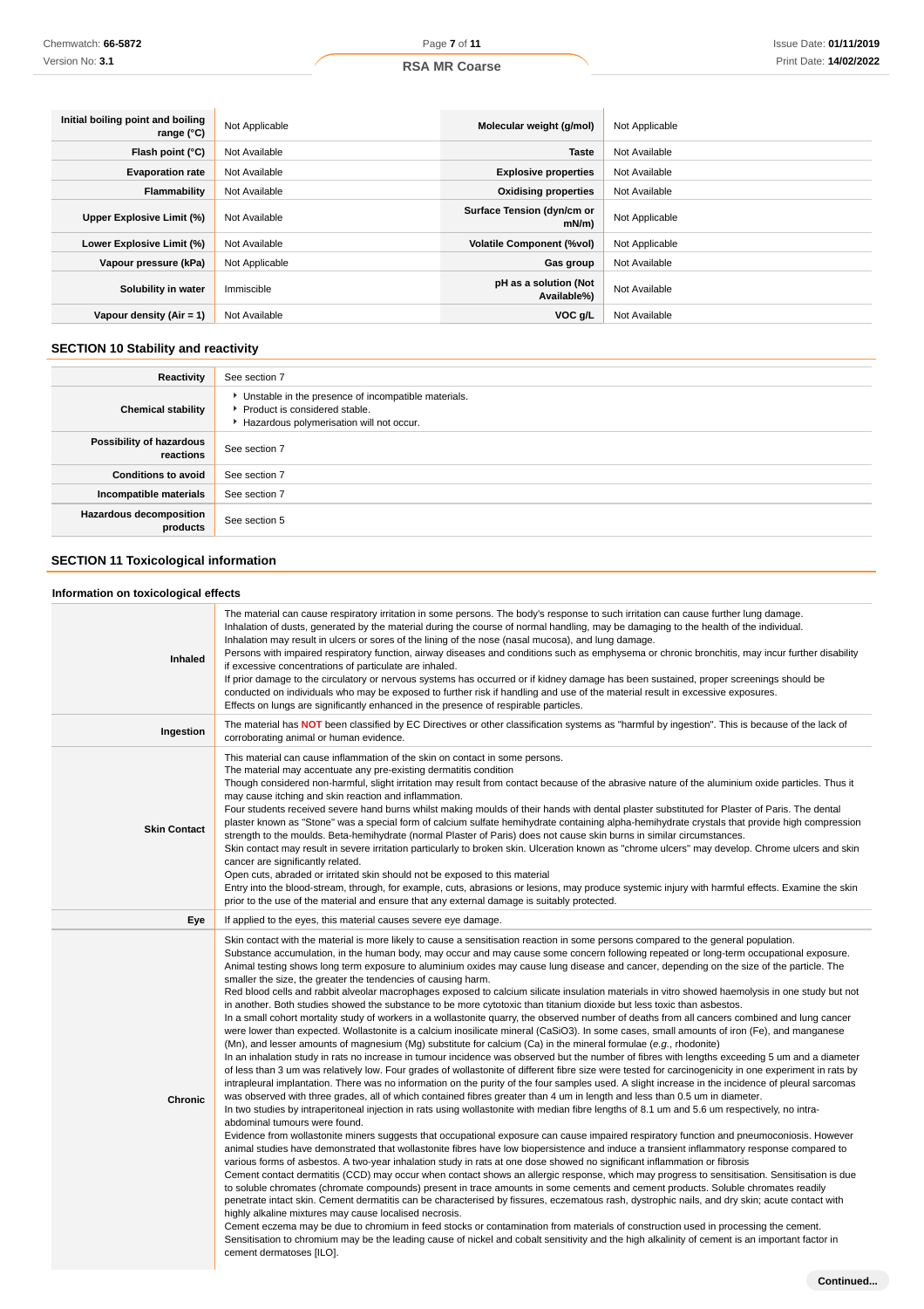| Initial boiling point and boiling<br>range (°C) | Not Applicable | Molecular weight (g/mol)             | Not Applicable |
|-------------------------------------------------|----------------|--------------------------------------|----------------|
| Flash point $(°C)$                              | Not Available  | <b>Taste</b>                         | Not Available  |
| <b>Evaporation rate</b>                         | Not Available  | <b>Explosive properties</b>          | Not Available  |
| Flammability                                    | Not Available  | <b>Oxidising properties</b>          | Not Available  |
| Upper Explosive Limit (%)                       | Not Available  | Surface Tension (dyn/cm or<br>mN/m   | Not Applicable |
| Lower Explosive Limit (%)                       | Not Available  | <b>Volatile Component (%vol)</b>     | Not Applicable |
| Vapour pressure (kPa)                           | Not Applicable | Gas group                            | Not Available  |
| Solubility in water                             | Immiscible     | pH as a solution (Not<br>Available%) | Not Available  |
| Vapour density (Air = 1)                        | Not Available  | VOC g/L                              | Not Available  |

# **SECTION 10 Stability and reactivity**

| Reactivity                                 | See section 7                                                                                                                        |
|--------------------------------------------|--------------------------------------------------------------------------------------------------------------------------------------|
| <b>Chemical stability</b>                  | • Unstable in the presence of incompatible materials.<br>▶ Product is considered stable.<br>Hazardous polymerisation will not occur. |
| Possibility of hazardous<br>reactions      | See section 7                                                                                                                        |
| <b>Conditions to avoid</b>                 | See section 7                                                                                                                        |
| Incompatible materials                     | See section 7                                                                                                                        |
| <b>Hazardous decomposition</b><br>products | See section 5                                                                                                                        |

# **SECTION 11 Toxicological information**

# **Information on toxicological effects**

| Inhaled             | The material can cause respiratory irritation in some persons. The body's response to such irritation can cause further lung damage.<br>Inhalation of dusts, generated by the material during the course of normal handling, may be damaging to the health of the individual.<br>Inhalation may result in ulcers or sores of the lining of the nose (nasal mucosa), and lung damage.<br>Persons with impaired respiratory function, airway diseases and conditions such as emphysema or chronic bronchitis, may incur further disability<br>if excessive concentrations of particulate are inhaled.<br>If prior damage to the circulatory or nervous systems has occurred or if kidney damage has been sustained, proper screenings should be<br>conducted on individuals who may be exposed to further risk if handling and use of the material result in excessive exposures.<br>Effects on lungs are significantly enhanced in the presence of respirable particles.                                                                                                                                                                                                                                                                                                                                                                                                                                                                                                                                                                                                                                                                                                                                                                                                                                                                                                                                                                                                                                                                                                                                                                                                                                                                                                                                                                                                                                                                                                                                                                                                                                                                                                                                                                                                                                                                                                                                                                                                                                                                                                                                                                                                                                                         |
|---------------------|---------------------------------------------------------------------------------------------------------------------------------------------------------------------------------------------------------------------------------------------------------------------------------------------------------------------------------------------------------------------------------------------------------------------------------------------------------------------------------------------------------------------------------------------------------------------------------------------------------------------------------------------------------------------------------------------------------------------------------------------------------------------------------------------------------------------------------------------------------------------------------------------------------------------------------------------------------------------------------------------------------------------------------------------------------------------------------------------------------------------------------------------------------------------------------------------------------------------------------------------------------------------------------------------------------------------------------------------------------------------------------------------------------------------------------------------------------------------------------------------------------------------------------------------------------------------------------------------------------------------------------------------------------------------------------------------------------------------------------------------------------------------------------------------------------------------------------------------------------------------------------------------------------------------------------------------------------------------------------------------------------------------------------------------------------------------------------------------------------------------------------------------------------------------------------------------------------------------------------------------------------------------------------------------------------------------------------------------------------------------------------------------------------------------------------------------------------------------------------------------------------------------------------------------------------------------------------------------------------------------------------------------------------------------------------------------------------------------------------------------------------------------------------------------------------------------------------------------------------------------------------------------------------------------------------------------------------------------------------------------------------------------------------------------------------------------------------------------------------------------------------------------------------------------------------------------------------------------------------|
| Ingestion           | The material has NOT been classified by EC Directives or other classification systems as "harmful by ingestion". This is because of the lack of<br>corroborating animal or human evidence.                                                                                                                                                                                                                                                                                                                                                                                                                                                                                                                                                                                                                                                                                                                                                                                                                                                                                                                                                                                                                                                                                                                                                                                                                                                                                                                                                                                                                                                                                                                                                                                                                                                                                                                                                                                                                                                                                                                                                                                                                                                                                                                                                                                                                                                                                                                                                                                                                                                                                                                                                                                                                                                                                                                                                                                                                                                                                                                                                                                                                                      |
| <b>Skin Contact</b> | This material can cause inflammation of the skin on contact in some persons.<br>The material may accentuate any pre-existing dermatitis condition<br>Though considered non-harmful, slight irritation may result from contact because of the abrasive nature of the aluminium oxide particles. Thus it<br>may cause itching and skin reaction and inflammation.<br>Four students received severe hand burns whilst making moulds of their hands with dental plaster substituted for Plaster of Paris. The dental<br>plaster known as "Stone" was a special form of calcium sulfate hemihydrate containing alpha-hemihydrate crystals that provide high compression<br>strength to the moulds. Beta-hemihydrate (normal Plaster of Paris) does not cause skin burns in similar circumstances.<br>Skin contact may result in severe irritation particularly to broken skin. Ulceration known as "chrome ulcers" may develop. Chrome ulcers and skin<br>cancer are significantly related.<br>Open cuts, abraded or irritated skin should not be exposed to this material<br>Entry into the blood-stream, through, for example, cuts, abrasions or lesions, may produce systemic injury with harmful effects. Examine the skin<br>prior to the use of the material and ensure that any external damage is suitably protected.                                                                                                                                                                                                                                                                                                                                                                                                                                                                                                                                                                                                                                                                                                                                                                                                                                                                                                                                                                                                                                                                                                                                                                                                                                                                                                                                                                                                                                                                                                                                                                                                                                                                                                                                                                                                                                                                                                       |
| Eye                 | If applied to the eyes, this material causes severe eye damage.                                                                                                                                                                                                                                                                                                                                                                                                                                                                                                                                                                                                                                                                                                                                                                                                                                                                                                                                                                                                                                                                                                                                                                                                                                                                                                                                                                                                                                                                                                                                                                                                                                                                                                                                                                                                                                                                                                                                                                                                                                                                                                                                                                                                                                                                                                                                                                                                                                                                                                                                                                                                                                                                                                                                                                                                                                                                                                                                                                                                                                                                                                                                                                 |
| <b>Chronic</b>      | Skin contact with the material is more likely to cause a sensitisation reaction in some persons compared to the general population.<br>Substance accumulation, in the human body, may occur and may cause some concern following repeated or long-term occupational exposure.<br>Animal testing shows long term exposure to aluminium oxides may cause lung disease and cancer, depending on the size of the particle. The<br>smaller the size, the greater the tendencies of causing harm.<br>Red blood cells and rabbit alveolar macrophages exposed to calcium silicate insulation materials in vitro showed haemolysis in one study but not<br>in another. Both studies showed the substance to be more cytotoxic than titanium dioxide but less toxic than asbestos.<br>In a small cohort mortality study of workers in a wollastonite quarry, the observed number of deaths from all cancers combined and lung cancer<br>were lower than expected. Wollastonite is a calcium inosilicate mineral (CaSiO3). In some cases, small amounts of iron (Fe), and manganese<br>(Mn), and lesser amounts of magnesium (Mg) substitute for calcium (Ca) in the mineral formulae (e.g., rhodonite)<br>In an inhalation study in rats no increase in tumour incidence was observed but the number of fibres with lengths exceeding 5 um and a diameter<br>of less than 3 um was relatively low. Four grades of wollastonite of different fibre size were tested for carcinogenicity in one experiment in rats by<br>intrapleural implantation. There was no information on the purity of the four samples used. A slight increase in the incidence of pleural sarcomas<br>was observed with three grades, all of which contained fibres greater than 4 um in length and less than 0.5 um in diameter.<br>In two studies by intraperitoneal injection in rats using wollastonite with median fibre lengths of 8.1 um and 5.6 um respectively, no intra-<br>abdominal tumours were found.<br>Evidence from wollastonite miners suggests that occupational exposure can cause impaired respiratory function and pneumoconiosis. However<br>animal studies have demonstrated that wollastonite fibres have low biopersistence and induce a transient inflammatory response compared to<br>various forms of asbestos. A two-year inhalation study in rats at one dose showed no significant inflammation or fibrosis<br>Cement contact dermatitis (CCD) may occur when contact shows an allergic response, which may progress to sensitisation. Sensitisation is due<br>to soluble chromates (chromate compounds) present in trace amounts in some cements and cement products. Soluble chromates readily<br>penetrate intact skin. Cement dermatitis can be characterised by fissures, eczematous rash, dystrophic nails, and dry skin; acute contact with<br>highly alkaline mixtures may cause localised necrosis.<br>Cement eczema may be due to chromium in feed stocks or contamination from materials of construction used in processing the cement.<br>Sensitisation to chromium may be the leading cause of nickel and cobalt sensitivity and the high alkalinity of cement is an important factor in<br>cement dermatoses [ILO]. |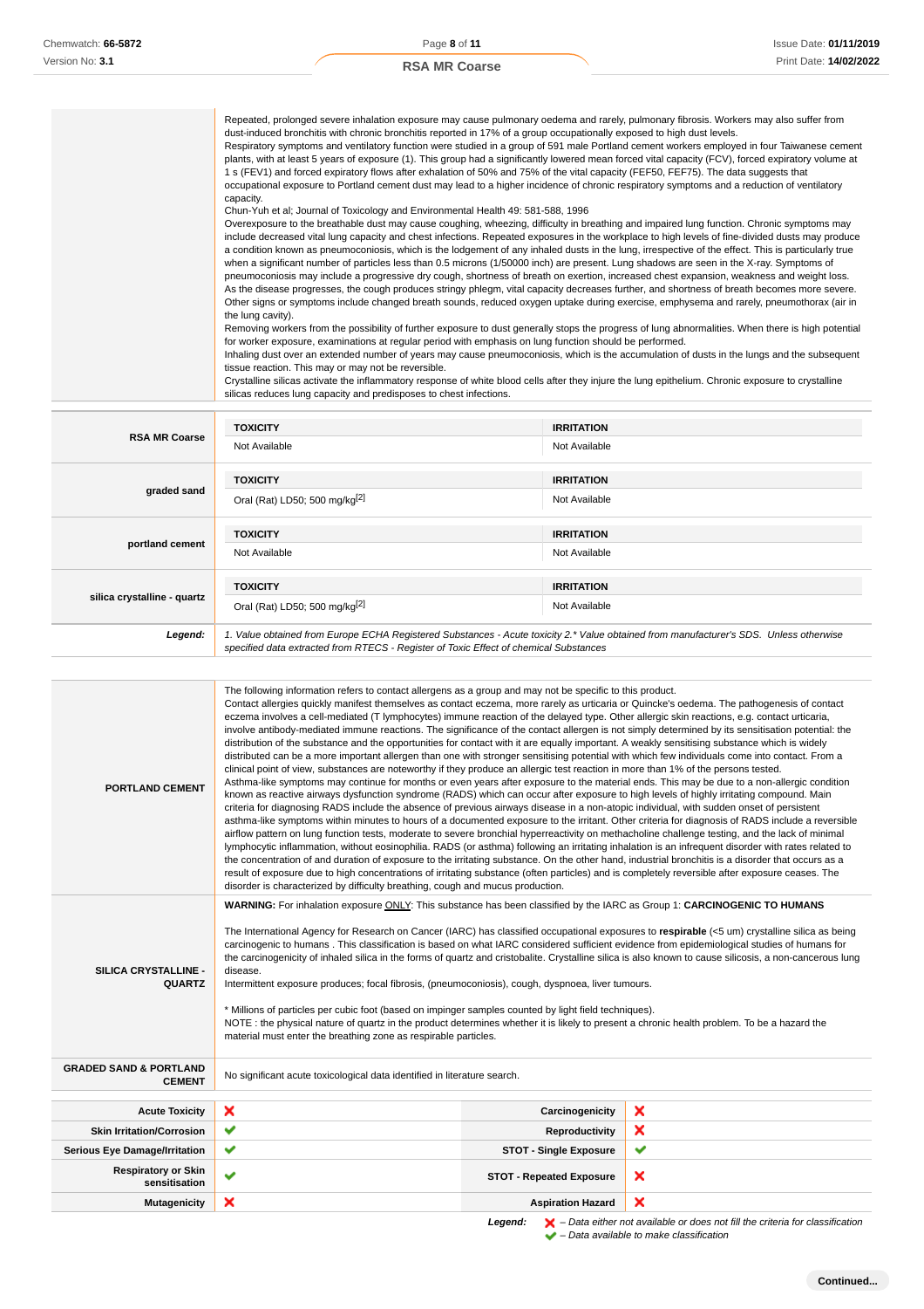#### **RSA MR Coarse**

| <b>RSA MR Coarse</b>        | <b>TOXICITY</b><br>Not Available                                                                                                                                                                                                | <b>IRRITATION</b><br>Not Available |
|-----------------------------|---------------------------------------------------------------------------------------------------------------------------------------------------------------------------------------------------------------------------------|------------------------------------|
| graded sand                 | <b>TOXICITY</b><br>Oral (Rat) LD50; 500 mg/kg <sup>[2]</sup>                                                                                                                                                                    | <b>IRRITATION</b><br>Not Available |
| portland cement             | <b>TOXICITY</b><br>Not Available                                                                                                                                                                                                | <b>IRRITATION</b><br>Not Available |
| silica crystalline - quartz | <b>TOXICITY</b><br>Oral (Rat) LD50; 500 mg/kg <sup>[2]</sup>                                                                                                                                                                    | <b>IRRITATION</b><br>Not Available |
| Legend:                     | 1. Value obtained from Europe ECHA Registered Substances - Acute toxicity 2.* Value obtained from manufacturer's SDS. Unless otherwise<br>specified data extracted from RTECS - Register of Toxic Effect of chemical Substances |                                    |

| Chemwatch: 66-5872                                 | Page 8 of 11                                                                                                                                                                                                                                                                                                                                                                                                                                                                                                                                                                                                                                                                                                                                                                                                                                                                                                                                                                                                                                                                                                                                                                                                                                                                                                                                                                                                                                                                                                                                                                                                                                                                                                                                                                                                                                                                                                                                                                                                                                                                                                                                    |                                 | <b>Issue Date: 01/11/201</b>                                                                                                                                                                                                                                                                                                                                                                                                                                                                                                                                                                                                                                                                                                                                                                                                                                                                            |
|----------------------------------------------------|-------------------------------------------------------------------------------------------------------------------------------------------------------------------------------------------------------------------------------------------------------------------------------------------------------------------------------------------------------------------------------------------------------------------------------------------------------------------------------------------------------------------------------------------------------------------------------------------------------------------------------------------------------------------------------------------------------------------------------------------------------------------------------------------------------------------------------------------------------------------------------------------------------------------------------------------------------------------------------------------------------------------------------------------------------------------------------------------------------------------------------------------------------------------------------------------------------------------------------------------------------------------------------------------------------------------------------------------------------------------------------------------------------------------------------------------------------------------------------------------------------------------------------------------------------------------------------------------------------------------------------------------------------------------------------------------------------------------------------------------------------------------------------------------------------------------------------------------------------------------------------------------------------------------------------------------------------------------------------------------------------------------------------------------------------------------------------------------------------------------------------------------------|---------------------------------|---------------------------------------------------------------------------------------------------------------------------------------------------------------------------------------------------------------------------------------------------------------------------------------------------------------------------------------------------------------------------------------------------------------------------------------------------------------------------------------------------------------------------------------------------------------------------------------------------------------------------------------------------------------------------------------------------------------------------------------------------------------------------------------------------------------------------------------------------------------------------------------------------------|
| Version No: 3.1                                    | <b>RSA MR Coarse</b>                                                                                                                                                                                                                                                                                                                                                                                                                                                                                                                                                                                                                                                                                                                                                                                                                                                                                                                                                                                                                                                                                                                                                                                                                                                                                                                                                                                                                                                                                                                                                                                                                                                                                                                                                                                                                                                                                                                                                                                                                                                                                                                            |                                 | Print Date: 14/02/202                                                                                                                                                                                                                                                                                                                                                                                                                                                                                                                                                                                                                                                                                                                                                                                                                                                                                   |
|                                                    |                                                                                                                                                                                                                                                                                                                                                                                                                                                                                                                                                                                                                                                                                                                                                                                                                                                                                                                                                                                                                                                                                                                                                                                                                                                                                                                                                                                                                                                                                                                                                                                                                                                                                                                                                                                                                                                                                                                                                                                                                                                                                                                                                 |                                 |                                                                                                                                                                                                                                                                                                                                                                                                                                                                                                                                                                                                                                                                                                                                                                                                                                                                                                         |
|                                                    | Repeated, prolonged severe inhalation exposure may cause pulmonary oedema and rarely, pulmonary fibrosis. Workers may also suffer from<br>dust-induced bronchitis with chronic bronchitis reported in 17% of a group occupationally exposed to high dust levels.<br>1 s (FEV1) and forced expiratory flows after exhalation of 50% and 75% of the vital capacity (FEF50, FEF75). The data suggests that<br>occupational exposure to Portland cement dust may lead to a higher incidence of chronic respiratory symptoms and a reduction of ventilatory<br>capacity.<br>Chun-Yuh et al; Journal of Toxicology and Environmental Health 49: 581-588, 1996<br>Overexposure to the breathable dust may cause coughing, wheezing, difficulty in breathing and impaired lung function. Chronic symptoms may<br>a condition known as pneumoconiosis, which is the lodgement of any inhaled dusts in the lung, irrespective of the effect. This is particularly true<br>when a significant number of particles less than 0.5 microns (1/50000 inch) are present. Lung shadows are seen in the X-ray. Symptoms of<br>pneumoconiosis may include a progressive dry cough, shortness of breath on exertion, increased chest expansion, weakness and weight loss.<br>As the disease progresses, the cough produces stringy phlegm, vital capacity decreases further, and shortness of breath becomes more severe.<br>the lung cavity).<br>for worker exposure, examinations at regular period with emphasis on lung function should be performed.<br>tissue reaction. This may or may not be reversible.<br>Crystalline silicas activate the inflammatory response of white blood cells after they injure the lung epithelium. Chronic exposure to crystalline<br>silicas reduces lung capacity and predisposes to chest infections.                                                                                                                                                                                                                                                                                                                        |                                 | Respiratory symptoms and ventilatory function were studied in a group of 591 male Portland cement workers employed in four Taiwanese cement<br>plants, with at least 5 years of exposure (1). This group had a significantly lowered mean forced vital capacity (FCV), forced expiratory volume at<br>include decreased vital lung capacity and chest infections. Repeated exposures in the workplace to high levels of fine-divided dusts may produce<br>Other signs or symptoms include changed breath sounds, reduced oxygen uptake during exercise, emphysema and rarely, pneumothorax (air in<br>Removing workers from the possibility of further exposure to dust generally stops the progress of lung abnormalities. When there is high potential<br>Inhaling dust over an extended number of years may cause pneumoconiosis, which is the accumulation of dusts in the lungs and the subsequent |
|                                                    |                                                                                                                                                                                                                                                                                                                                                                                                                                                                                                                                                                                                                                                                                                                                                                                                                                                                                                                                                                                                                                                                                                                                                                                                                                                                                                                                                                                                                                                                                                                                                                                                                                                                                                                                                                                                                                                                                                                                                                                                                                                                                                                                                 |                                 |                                                                                                                                                                                                                                                                                                                                                                                                                                                                                                                                                                                                                                                                                                                                                                                                                                                                                                         |
| <b>RSA MR Coarse</b>                               | <b>TOXICITY</b>                                                                                                                                                                                                                                                                                                                                                                                                                                                                                                                                                                                                                                                                                                                                                                                                                                                                                                                                                                                                                                                                                                                                                                                                                                                                                                                                                                                                                                                                                                                                                                                                                                                                                                                                                                                                                                                                                                                                                                                                                                                                                                                                 | <b>IRRITATION</b>               |                                                                                                                                                                                                                                                                                                                                                                                                                                                                                                                                                                                                                                                                                                                                                                                                                                                                                                         |
|                                                    | Not Available                                                                                                                                                                                                                                                                                                                                                                                                                                                                                                                                                                                                                                                                                                                                                                                                                                                                                                                                                                                                                                                                                                                                                                                                                                                                                                                                                                                                                                                                                                                                                                                                                                                                                                                                                                                                                                                                                                                                                                                                                                                                                                                                   | Not Available                   |                                                                                                                                                                                                                                                                                                                                                                                                                                                                                                                                                                                                                                                                                                                                                                                                                                                                                                         |
| graded sand                                        | <b>TOXICITY</b>                                                                                                                                                                                                                                                                                                                                                                                                                                                                                                                                                                                                                                                                                                                                                                                                                                                                                                                                                                                                                                                                                                                                                                                                                                                                                                                                                                                                                                                                                                                                                                                                                                                                                                                                                                                                                                                                                                                                                                                                                                                                                                                                 | <b>IRRITATION</b>               |                                                                                                                                                                                                                                                                                                                                                                                                                                                                                                                                                                                                                                                                                                                                                                                                                                                                                                         |
|                                                    | Oral (Rat) LD50; 500 mg/kg <sup>[2]</sup>                                                                                                                                                                                                                                                                                                                                                                                                                                                                                                                                                                                                                                                                                                                                                                                                                                                                                                                                                                                                                                                                                                                                                                                                                                                                                                                                                                                                                                                                                                                                                                                                                                                                                                                                                                                                                                                                                                                                                                                                                                                                                                       | Not Available                   |                                                                                                                                                                                                                                                                                                                                                                                                                                                                                                                                                                                                                                                                                                                                                                                                                                                                                                         |
|                                                    | <b>TOXICITY</b>                                                                                                                                                                                                                                                                                                                                                                                                                                                                                                                                                                                                                                                                                                                                                                                                                                                                                                                                                                                                                                                                                                                                                                                                                                                                                                                                                                                                                                                                                                                                                                                                                                                                                                                                                                                                                                                                                                                                                                                                                                                                                                                                 | <b>IRRITATION</b>               |                                                                                                                                                                                                                                                                                                                                                                                                                                                                                                                                                                                                                                                                                                                                                                                                                                                                                                         |
| portland cement                                    | Not Available                                                                                                                                                                                                                                                                                                                                                                                                                                                                                                                                                                                                                                                                                                                                                                                                                                                                                                                                                                                                                                                                                                                                                                                                                                                                                                                                                                                                                                                                                                                                                                                                                                                                                                                                                                                                                                                                                                                                                                                                                                                                                                                                   | Not Available                   |                                                                                                                                                                                                                                                                                                                                                                                                                                                                                                                                                                                                                                                                                                                                                                                                                                                                                                         |
|                                                    | <b>TOXICITY</b>                                                                                                                                                                                                                                                                                                                                                                                                                                                                                                                                                                                                                                                                                                                                                                                                                                                                                                                                                                                                                                                                                                                                                                                                                                                                                                                                                                                                                                                                                                                                                                                                                                                                                                                                                                                                                                                                                                                                                                                                                                                                                                                                 | <b>IRRITATION</b>               |                                                                                                                                                                                                                                                                                                                                                                                                                                                                                                                                                                                                                                                                                                                                                                                                                                                                                                         |
| silica crystalline - quartz                        | Oral (Rat) LD50; 500 mg/kg <sup>[2]</sup>                                                                                                                                                                                                                                                                                                                                                                                                                                                                                                                                                                                                                                                                                                                                                                                                                                                                                                                                                                                                                                                                                                                                                                                                                                                                                                                                                                                                                                                                                                                                                                                                                                                                                                                                                                                                                                                                                                                                                                                                                                                                                                       | Not Available                   |                                                                                                                                                                                                                                                                                                                                                                                                                                                                                                                                                                                                                                                                                                                                                                                                                                                                                                         |
|                                                    |                                                                                                                                                                                                                                                                                                                                                                                                                                                                                                                                                                                                                                                                                                                                                                                                                                                                                                                                                                                                                                                                                                                                                                                                                                                                                                                                                                                                                                                                                                                                                                                                                                                                                                                                                                                                                                                                                                                                                                                                                                                                                                                                                 |                                 |                                                                                                                                                                                                                                                                                                                                                                                                                                                                                                                                                                                                                                                                                                                                                                                                                                                                                                         |
| Legend:                                            | 1. Value obtained from Europe ECHA Registered Substances - Acute toxicity 2.* Value obtained from manufacturer's SDS. Unless otherwise<br>specified data extracted from RTECS - Register of Toxic Effect of chemical Substances                                                                                                                                                                                                                                                                                                                                                                                                                                                                                                                                                                                                                                                                                                                                                                                                                                                                                                                                                                                                                                                                                                                                                                                                                                                                                                                                                                                                                                                                                                                                                                                                                                                                                                                                                                                                                                                                                                                 |                                 |                                                                                                                                                                                                                                                                                                                                                                                                                                                                                                                                                                                                                                                                                                                                                                                                                                                                                                         |
|                                                    |                                                                                                                                                                                                                                                                                                                                                                                                                                                                                                                                                                                                                                                                                                                                                                                                                                                                                                                                                                                                                                                                                                                                                                                                                                                                                                                                                                                                                                                                                                                                                                                                                                                                                                                                                                                                                                                                                                                                                                                                                                                                                                                                                 |                                 |                                                                                                                                                                                                                                                                                                                                                                                                                                                                                                                                                                                                                                                                                                                                                                                                                                                                                                         |
| PORTLAND CEMENT                                    | The following information refers to contact allergens as a group and may not be specific to this product.<br>Contact allergies quickly manifest themselves as contact eczema, more rarely as urticaria or Quincke's oedema. The pathogenesis of contact<br>eczema involves a cell-mediated (T lymphocytes) immune reaction of the delayed type. Other allergic skin reactions, e.g. contact urticaria,<br>involve antibody-mediated immune reactions. The significance of the contact allergen is not simply determined by its sensitisation potential: the<br>distribution of the substance and the opportunities for contact with it are equally important. A weakly sensitising substance which is widely<br>distributed can be a more important allergen than one with stronger sensitising potential with which few individuals come into contact. From a<br>clinical point of view, substances are noteworthy if they produce an allergic test reaction in more than 1% of the persons tested.<br>Asthma-like symptoms may continue for months or even years after exposure to the material ends. This may be due to a non-allergic condition<br>known as reactive airways dysfunction syndrome (RADS) which can occur after exposure to high levels of highly irritating compound. Main<br>criteria for diagnosing RADS include the absence of previous airways disease in a non-atopic individual, with sudden onset of persistent<br>airflow pattern on lung function tests, moderate to severe bronchial hyperreactivity on methacholine challenge testing, and the lack of minimal<br>lymphocytic inflammation, without eosinophilia. RADS (or asthma) following an irritating inhalation is an infrequent disorder with rates related to<br>the concentration of and duration of exposure to the irritating substance. On the other hand, industrial bronchitis is a disorder that occurs as a<br>result of exposure due to high concentrations of irritating substance (often particles) and is completely reversible after exposure ceases. The<br>disorder is characterized by difficulty breathing, cough and mucus production. |                                 | asthma-like symptoms within minutes to hours of a documented exposure to the irritant. Other criteria for diagnosis of RADS include a reversible                                                                                                                                                                                                                                                                                                                                                                                                                                                                                                                                                                                                                                                                                                                                                        |
| SILICA CRYSTALLINE -<br><b>QUARTZ</b>              | WARNING: For inhalation exposure ONLY: This substance has been classified by the IARC as Group 1: CARCINOGENIC TO HUMANS<br>The International Agency for Research on Cancer (IARC) has classified occupational exposures to respirable (<5 um) crystalline silica as being<br>carcinogenic to humans. This classification is based on what IARC considered sufficient evidence from epidemiological studies of humans for<br>the carcinogenicity of inhaled silica in the forms of quartz and cristobalite. Crystalline silica is also known to cause silicosis, a non-cancerous lung<br>disease.<br>Intermittent exposure produces; focal fibrosis, (pneumoconiosis), cough, dyspnoea, liver tumours.<br>* Millions of particles per cubic foot (based on impinger samples counted by light field techniques).<br>NOTE: the physical nature of quartz in the product determines whether it is likely to present a chronic health problem. To be a hazard the<br>material must enter the breathing zone as respirable particles.                                                                                                                                                                                                                                                                                                                                                                                                                                                                                                                                                                                                                                                                                                                                                                                                                                                                                                                                                                                                                                                                                                                |                                 |                                                                                                                                                                                                                                                                                                                                                                                                                                                                                                                                                                                                                                                                                                                                                                                                                                                                                                         |
| <b>GRADED SAND &amp; PORTLAND</b><br><b>CEMENT</b> | No significant acute toxicological data identified in literature search.                                                                                                                                                                                                                                                                                                                                                                                                                                                                                                                                                                                                                                                                                                                                                                                                                                                                                                                                                                                                                                                                                                                                                                                                                                                                                                                                                                                                                                                                                                                                                                                                                                                                                                                                                                                                                                                                                                                                                                                                                                                                        |                                 |                                                                                                                                                                                                                                                                                                                                                                                                                                                                                                                                                                                                                                                                                                                                                                                                                                                                                                         |
| <b>Acute Toxicity</b>                              | ×                                                                                                                                                                                                                                                                                                                                                                                                                                                                                                                                                                                                                                                                                                                                                                                                                                                                                                                                                                                                                                                                                                                                                                                                                                                                                                                                                                                                                                                                                                                                                                                                                                                                                                                                                                                                                                                                                                                                                                                                                                                                                                                                               | Carcinogenicity                 | ×                                                                                                                                                                                                                                                                                                                                                                                                                                                                                                                                                                                                                                                                                                                                                                                                                                                                                                       |
| <b>Skin Irritation/Corrosion</b>                   | ✔                                                                                                                                                                                                                                                                                                                                                                                                                                                                                                                                                                                                                                                                                                                                                                                                                                                                                                                                                                                                                                                                                                                                                                                                                                                                                                                                                                                                                                                                                                                                                                                                                                                                                                                                                                                                                                                                                                                                                                                                                                                                                                                                               | <b>Reproductivity</b>           | ×                                                                                                                                                                                                                                                                                                                                                                                                                                                                                                                                                                                                                                                                                                                                                                                                                                                                                                       |
| <b>Serious Eye Damage/Irritation</b>               | ✔                                                                                                                                                                                                                                                                                                                                                                                                                                                                                                                                                                                                                                                                                                                                                                                                                                                                                                                                                                                                                                                                                                                                                                                                                                                                                                                                                                                                                                                                                                                                                                                                                                                                                                                                                                                                                                                                                                                                                                                                                                                                                                                                               | <b>STOT - Single Exposure</b>   | ✔                                                                                                                                                                                                                                                                                                                                                                                                                                                                                                                                                                                                                                                                                                                                                                                                                                                                                                       |
| <b>Respiratory or Skin</b><br>sensitisation        | ✔                                                                                                                                                                                                                                                                                                                                                                                                                                                                                                                                                                                                                                                                                                                                                                                                                                                                                                                                                                                                                                                                                                                                                                                                                                                                                                                                                                                                                                                                                                                                                                                                                                                                                                                                                                                                                                                                                                                                                                                                                                                                                                                                               | <b>STOT - Repeated Exposure</b> | ×                                                                                                                                                                                                                                                                                                                                                                                                                                                                                                                                                                                                                                                                                                                                                                                                                                                                                                       |
| <b>Mutagenicity</b>                                | ×                                                                                                                                                                                                                                                                                                                                                                                                                                                                                                                                                                                                                                                                                                                                                                                                                                                                                                                                                                                                                                                                                                                                                                                                                                                                                                                                                                                                                                                                                                                                                                                                                                                                                                                                                                                                                                                                                                                                                                                                                                                                                                                                               | <b>Aspiration Hazard</b>        | ×                                                                                                                                                                                                                                                                                                                                                                                                                                                                                                                                                                                                                                                                                                                                                                                                                                                                                                       |

**Legend:**  $\mathbf{X}$  – Data either not available or does not fill the criteria for classification – Data available to make classification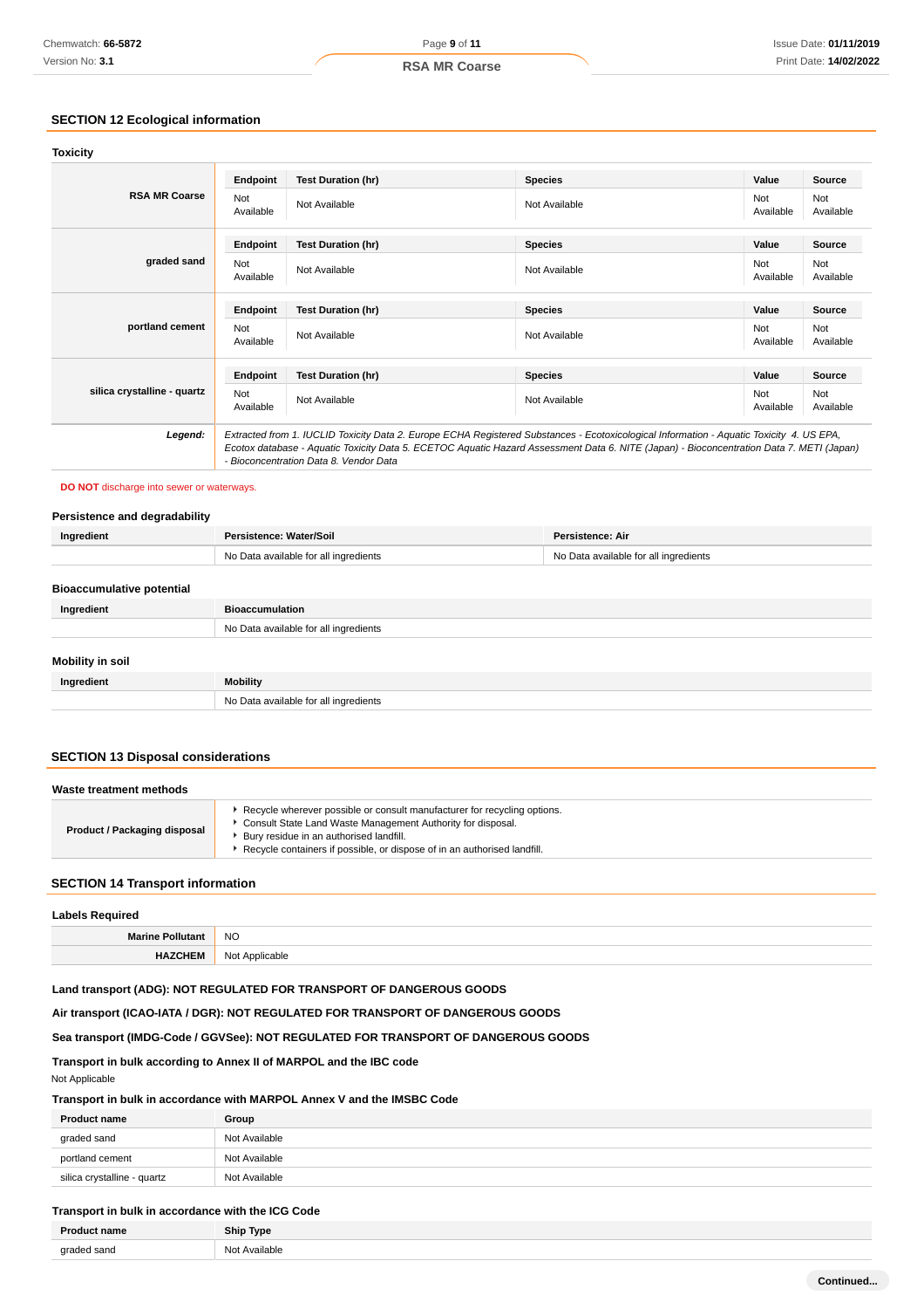# **SECTION 12 Ecological information**

| Toxicity                    |                  |                                                                                                                                                                                                                                                                                                                                |                |                  |                  |
|-----------------------------|------------------|--------------------------------------------------------------------------------------------------------------------------------------------------------------------------------------------------------------------------------------------------------------------------------------------------------------------------------|----------------|------------------|------------------|
|                             | Endpoint         | <b>Test Duration (hr)</b>                                                                                                                                                                                                                                                                                                      | <b>Species</b> | Value            | Source           |
| <b>RSA MR Coarse</b>        | Not<br>Available | Not Available                                                                                                                                                                                                                                                                                                                  | Not Available  | Not<br>Available | Not<br>Available |
|                             | Endpoint         | <b>Test Duration (hr)</b>                                                                                                                                                                                                                                                                                                      | <b>Species</b> | Value            | <b>Source</b>    |
| graded sand                 | Not<br>Available | Not Available                                                                                                                                                                                                                                                                                                                  | Not Available  | Not<br>Available | Not<br>Available |
|                             | Endpoint         | <b>Test Duration (hr)</b>                                                                                                                                                                                                                                                                                                      | <b>Species</b> | Value            | Source           |
| portland cement             | Not<br>Available | Not Available                                                                                                                                                                                                                                                                                                                  | Not Available  | Not<br>Available | Not<br>Available |
|                             | Endpoint         | <b>Test Duration (hr)</b>                                                                                                                                                                                                                                                                                                      | <b>Species</b> | Value            | Source           |
| silica crystalline - quartz | Not<br>Available | Not Available                                                                                                                                                                                                                                                                                                                  | Not Available  | Not<br>Available | Not<br>Available |
| Legend:                     |                  | Extracted from 1. IUCLID Toxicity Data 2. Europe ECHA Registered Substances - Ecotoxicological Information - Aquatic Toxicity 4. US EPA,<br>Ecotox database - Aquatic Toxicity Data 5. ECETOC Aquatic Hazard Assessment Data 6. NITE (Japan) - Bioconcentration Data 7. METI (Japan)<br>- Bioconcentration Data 8. Vendor Data |                |                  |                  |

## **DO NOT** discharge into sewer or waterways.

#### **Persistence and degradability**

| Ingredient                       | Persistence: Water/Soil               | Persistence: Air                      |
|----------------------------------|---------------------------------------|---------------------------------------|
|                                  | No Data available for all ingredients | No Data available for all ingredients |
|                                  |                                       |                                       |
| <b>Bioaccumulative potential</b> |                                       |                                       |
| Ingredient                       | <b>Bioaccumulation</b>                |                                       |
|                                  | No Data available for all ingredients |                                       |
|                                  |                                       |                                       |
| <b>Mobility in soil</b>          |                                       |                                       |
| Ingredient                       | <b>Mobility</b>                       |                                       |
|                                  | No Data available for all ingredients |                                       |

# **SECTION 13 Disposal considerations**

| Waste treatment methods             |                                                                                                                                                                                                                                                                |
|-------------------------------------|----------------------------------------------------------------------------------------------------------------------------------------------------------------------------------------------------------------------------------------------------------------|
| <b>Product / Packaging disposal</b> | Recycle wherever possible or consult manufacturer for recycling options.<br>Consult State Land Waste Management Authority for disposal.<br>Bury residue in an authorised landfill.<br>Recycle containers if possible, or dispose of in an authorised landfill. |

# **SECTION 14 Transport information**

| Labels Required         |                |  |
|-------------------------|----------------|--|
| <b>Marine Pollutant</b> | <b>NO</b>      |  |
| <b>HAZCHEM</b>          | Not Applicable |  |

# **Land transport (ADG): NOT REGULATED FOR TRANSPORT OF DANGEROUS GOODS**

**Air transport (ICAO-IATA / DGR): NOT REGULATED FOR TRANSPORT OF DANGEROUS GOODS**

### **Sea transport (IMDG-Code / GGVSee): NOT REGULATED FOR TRANSPORT OF DANGEROUS GOODS**

# **Transport in bulk according to Annex II of MARPOL and the IBC code**

Not Applicable

## **Transport in bulk in accordance with MARPOL Annex V and the IMSBC Code**

| <b>Product name</b>         | Group         |
|-----------------------------|---------------|
| graded sand                 | Not Available |
| portland cement             | Not Available |
| silica crystalline - quartz | Not Available |

# **Transport in bulk in accordance with the ICG Code**

| <b>Product name</b> | <b>Ship Type</b> |
|---------------------|------------------|
| d sano              | Not Available    |
|                     | .                |
| $\sim$ ndod         |                  |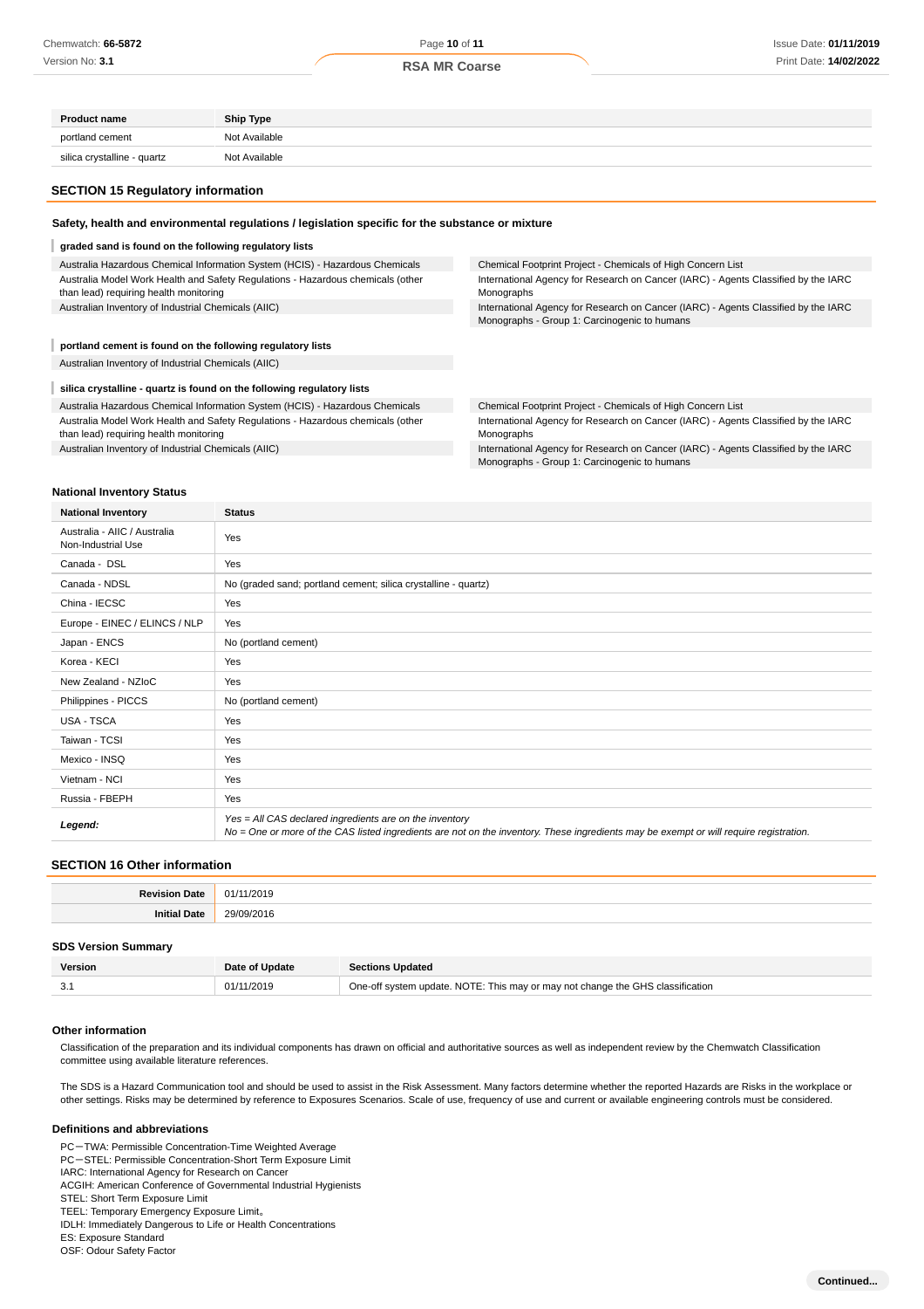| <b>Product name</b>         | <b>Ship Type</b> |
|-----------------------------|------------------|
| portland cement             | Not Available    |
| silica crystalline - quartz | Not Available    |

#### **SECTION 15 Regulatory information**

**Safety, health and environmental regulations / legislation specific for the substance or mixture**

#### I **graded sand is found on the following regulatory lists**

Australia Hazardous Chemical Information System (HCIS) - Hazardous Chemicals Australia Model Work Health and Safety Regulations - Hazardous chemicals (other than lead) requiring health monitoring Australian Inventory of Industrial Chemicals (AIIC)

**portland cement is found on the following regulatory lists**

Australian Inventory of Industrial Chemicals (AIIC)

#### **silica crystalline - quartz is found on the following regulatory lists**

Australia Hazardous Chemical Information System (HCIS) - Hazardous Chemicals Australia Model Work Health and Safety Regulations - Hazardous chemicals (other than lead) requiring health monitoring

Australian Inventory of Industrial Chemicals (AIIC)

Chemical Footprint Project - Chemicals of High Concern List International Agency for Research on Cancer (IARC) - Agents Classified by the IARC Monographs

International Agency for Research on Cancer (IARC) - Agents Classified by the IARC Monographs - Group 1: Carcinogenic to humans

Chemical Footprint Project - Chemicals of High Concern List International Agency for Research on Cancer (IARC) - Agents Classified by the IARC Monographs International Agency for Research on Cancer (IARC) - Agents Classified by the IARC

Monographs - Group 1: Carcinogenic to humans

#### **National Inventory Status**

I

| <b>National Inventory</b>                          | <b>Status</b>                                                                                                                                                                                     |  |  |
|----------------------------------------------------|---------------------------------------------------------------------------------------------------------------------------------------------------------------------------------------------------|--|--|
| Australia - AIIC / Australia<br>Non-Industrial Use | Yes                                                                                                                                                                                               |  |  |
| Canada - DSL                                       | Yes                                                                                                                                                                                               |  |  |
| Canada - NDSL                                      | No (graded sand; portland cement; silica crystalline - quartz)                                                                                                                                    |  |  |
| China - IECSC                                      | Yes                                                                                                                                                                                               |  |  |
| Europe - EINEC / ELINCS / NLP                      | Yes                                                                                                                                                                                               |  |  |
| Japan - ENCS                                       | No (portland cement)                                                                                                                                                                              |  |  |
| Korea - KECI                                       | Yes                                                                                                                                                                                               |  |  |
| New Zealand - NZIoC                                | Yes                                                                                                                                                                                               |  |  |
| Philippines - PICCS                                | No (portland cement)                                                                                                                                                                              |  |  |
| USA - TSCA                                         | Yes                                                                                                                                                                                               |  |  |
| Taiwan - TCSI                                      | Yes                                                                                                                                                                                               |  |  |
| Mexico - INSQ                                      | Yes                                                                                                                                                                                               |  |  |
| Vietnam - NCI                                      | Yes                                                                                                                                                                                               |  |  |
| Russia - FBEPH                                     | Yes                                                                                                                                                                                               |  |  |
| Legend:                                            | Yes = All CAS declared ingredients are on the inventory<br>No = One or more of the CAS listed ingredients are not on the inventory. These ingredients may be exempt or will require registration. |  |  |

#### **SECTION 16 Other information**

| ∍∼   | .012<br>N1. |
|------|-------------|
| nas. | $\sim$<br>. |

#### **SDS Version Summary**

| Version | Date of Update | <b>Sections Updated</b>                                                        |
|---------|----------------|--------------------------------------------------------------------------------|
| J.      | 01/11/2019     | One-off system update. NOTE: This may or may not change the GHS classification |

#### **Other information**

Classification of the preparation and its individual components has drawn on official and authoritative sources as well as independent review by the Chemwatch Classification committee using available literature references.

The SDS is a Hazard Communication tool and should be used to assist in the Risk Assessment. Many factors determine whether the reported Hazards are Risks in the workplace or other settings. Risks may be determined by reference to Exposures Scenarios. Scale of use, frequency of use and current or available engineering controls must be considered.

#### **Definitions and abbreviations**

PC-TWA: Permissible Concentration-Time Weighted Average

PC-STEL: Permissible Concentration-Short Term Exposure Limit

IARC: International Agency for Research on Cancer

ACGIH: American Conference of Governmental Industrial Hygienists

STEL: Short Term Exposure Limit

TEEL: Temporary Emergency Exposure Limit。

IDLH: Immediately Dangerous to Life or Health Concentrations ES: Exposure Standard

OSF: Odour Safety Factor